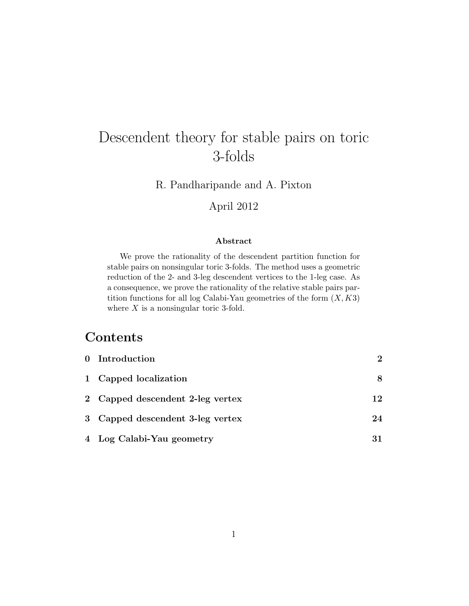# Descendent theory for stable pairs on toric 3-folds

R. Pandharipande and A. Pixton

# April 2012

### Abstract

We prove the rationality of the descendent partition function for stable pairs on nonsingular toric 3-folds. The method uses a geometric reduction of the 2- and 3-leg descendent vertices to the 1-leg case. As a consequence, we prove the rationality of the relative stable pairs partition functions for all log Calabi-Yau geometries of the form  $(X, K3)$ where  $X$  is a nonsingular toric 3-fold.

# **Contents**

| 0 Introduction                   | $\mathcal{D}_{\mathcal{L}}$ |
|----------------------------------|-----------------------------|
| 1 Capped localization            | 8                           |
| 2 Capped descendent 2-leg vertex | 12                          |
| 3 Capped descendent 3-leg vertex | 24                          |
| 4 Log Calabi-Yau geometry        | 31                          |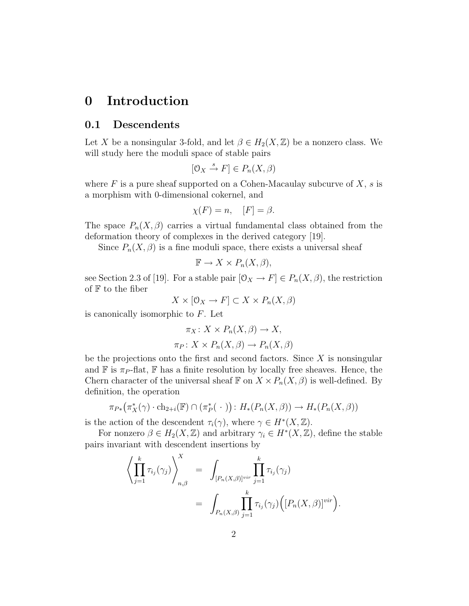# 0 Introduction

### 0.1 Descendents

Let X be a nonsingular 3-fold, and let  $\beta \in H_2(X,\mathbb{Z})$  be a nonzero class. We will study here the moduli space of stable pairs

$$
[0_X \xrightarrow{s} F] \in P_n(X, \beta)
$$

where  $F$  is a pure sheaf supported on a Cohen-Macaulay subcurve of  $X$ , s is a morphism with 0-dimensional cokernel, and

$$
\chi(F) = n, \quad [F] = \beta.
$$

The space  $P_n(X,\beta)$  carries a virtual fundamental class obtained from the deformation theory of complexes in the derived category [19].

Since  $P_n(X, \beta)$  is a fine moduli space, there exists a universal sheaf

$$
\mathbb{F} \to X \times P_n(X, \beta),
$$

see Section 2.3 of [19]. For a stable pair  $[0_X \to F] \in P_n(X, \beta)$ , the restriction of  $F$  to the fiber

$$
X \times [0_X \to F] \subset X \times P_n(X, \beta)
$$

is canonically isomorphic to  $F$ . Let

$$
\pi_X \colon X \times P_n(X, \beta) \to X,
$$
  

$$
\pi_P \colon X \times P_n(X, \beta) \to P_n(X, \beta)
$$

be the projections onto the first and second factors. Since  $X$  is nonsingular and  $\mathbb F$  is  $\pi_P$ -flat,  $\mathbb F$  has a finite resolution by locally free sheaves. Hence, the Chern character of the universal sheaf  $\mathbb F$  on  $X \times P_n(X, \beta)$  is well-defined. By definition, the operation

$$
\pi_{P*}(\pi_X^*(\gamma) \cdot \mathrm{ch}_{2+i}(\mathbb{F}) \cap (\pi_P^*(\cdot)) : H_*(P_n(X,\beta)) \to H_*(P_n(X,\beta))
$$

is the action of the descendent  $\tau_i(\gamma)$ , where  $\gamma \in H^*(X,\mathbb{Z})$ .

For nonzero  $\beta \in H_2(X, \mathbb{Z})$  and arbitrary  $\gamma_i \in H^*(X, \mathbb{Z})$ , define the stable pairs invariant with descendent insertions by

$$
\left\langle \prod_{j=1}^k \tau_{i_j}(\gamma_j) \right\rangle_{n,\beta}^X = \int_{[P_n(X,\beta)]^{vir}} \prod_{j=1}^k \tau_{i_j}(\gamma_j)
$$
  
= 
$$
\int_{P_n(X,\beta)} \prod_{j=1}^k \tau_{i_j}(\gamma_j) \Big( [P_n(X,\beta)]^{vir} \Big).
$$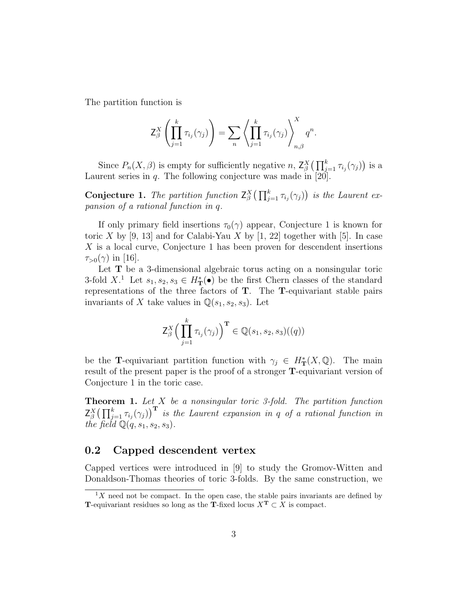The partition function is

$$
\mathsf{Z}_{\beta}^{X}\left(\prod_{j=1}^{k} \tau_{i_{j}}(\gamma_{j})\right) = \sum_{n} \left\langle \prod_{j=1}^{k} \tau_{i_{j}}(\gamma_{j}) \right\rangle_{n,\beta}^{X} q^{n}.
$$

Since  $P_n(X, \beta)$  is empty for sufficiently negative n,  $Z_{\beta}^X(\prod_{j=1}^k \tau_{i_j}(\gamma_j))$  is a Laurent series in  $q$ . The following conjecture was made in [20].

**Conjecture 1.** The partition function  $Z_{\beta}^{X}(\prod_{j=1}^{k} \tau_{i_j}(\gamma_j))$  is the Laurent expansion of a rational function in q.

If only primary field insertions  $\tau_0(\gamma)$  appear, Conjecture 1 is known for toric X by [9, 13] and for Calabi-Yau X by [1, 22] together with [5]. In case X is a local curve, Conjecture 1 has been proven for descendent insertions  $\tau_{>0}(\gamma)$  in [16].

Let  $T$  be a 3-dimensional algebraic torus acting on a nonsingular toric 3-fold X<sup>1</sup>. Let  $s_1, s_2, s_3 \in H^*_{\mathbf{T}}(\bullet)$  be the first Chern classes of the standard representations of the three factors of T. The T-equivariant stable pairs invariants of X take values in  $\mathbb{Q}(s_1,s_2,s_3)$ . Let

$$
\mathsf{Z}_{\beta}^X \Big(\prod_{j=1}^k \tau_{i_j}(\gamma_j)\Big)^{\mathbf{T}} \in \mathbb{Q}(s_1, s_2, s_3)((q))
$$

be the **T**-equivariant partition function with  $\gamma_j \in H^*_{\mathbf{T}}(X, \mathbb{Q})$ . The main result of the present paper is the proof of a stronger T-equivariant version of Conjecture 1 in the toric case.

**Theorem 1.** Let  $X$  be a nonsingular toric 3-fold. The partition function  $Z_{\beta}^X\big(\prod_{j=1}^k \tau_{i_j}(\gamma_j)\big)^{\rm T}$  is the Laurent expansion in q of a rational function in the field  $\mathbb{Q}(q,s_1,s_2,s_3)$ .

### 0.2 Capped descendent vertex

Capped vertices were introduced in [9] to study the Gromov-Witten and Donaldson-Thomas theories of toric 3-folds. By the same construction, we

 $1X$  need not be compact. In the open case, the stable pairs invariants are defined by T-equivariant residues so long as the T-fixed locus  $X^T \subset X$  is compact.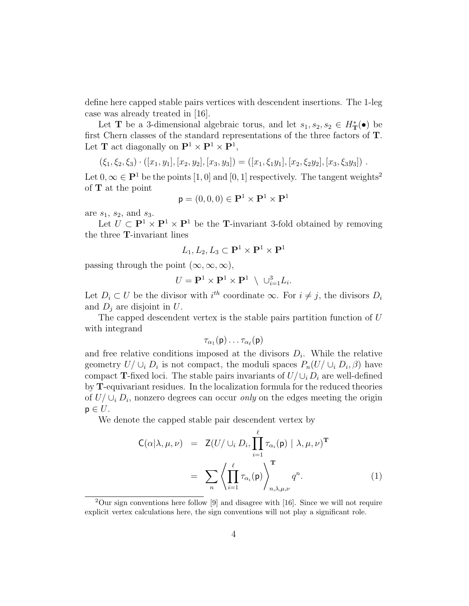define here capped stable pairs vertices with descendent insertions. The 1-leg case was already treated in [16].

Let **T** be a 3-dimensional algebraic torus, and let  $s_1, s_2, s_2 \in H_{\mathbf{T}}^{*}(\bullet)$  be first Chern classes of the standard representations of the three factors of T. Let **T** act diagonally on  $\mathbf{P}^1 \times \mathbf{P}^1 \times \mathbf{P}^1$ ,

$$
(\xi_1,\xi_2,\xi_3)\cdot([x_1,y_1],[x_2,y_2],[x_3,y_3]) = ([x_1,\xi_1y_1],[x_2,\xi_2y_2],[x_3,\xi_3y_3])\ .
$$

Let  $0, \infty \in \mathbf{P}^1$  be the points  $[1, 0]$  and  $[0, 1]$  respectively. The tangent weights<sup>2</sup> of T at the point

$$
\mathsf{p}=(0,0,0)\in\mathbf{P}^1\times\mathbf{P}^1\times\mathbf{P}^1
$$

are  $s_1$ ,  $s_2$ , and  $s_3$ .

Let  $U \subset \mathbf{P}^1 \times \mathbf{P}^1 \times \mathbf{P}^1$  be the **T**-invariant 3-fold obtained by removing the three T-invariant lines

$$
L_1, L_2, L_3 \subset \mathbf{P}^1 \times \mathbf{P}^1 \times \mathbf{P}^1
$$

passing through the point  $(\infty, \infty, \infty)$ ,

$$
U = \mathbf{P}^1 \times \mathbf{P}^1 \times \mathbf{P}^1 \ \setminus \ \cup_{i=1}^3 L_i.
$$

Let  $D_i \subset U$  be the divisor with  $i^{th}$  coordinate  $\infty$ . For  $i \neq j$ , the divisors  $D_i$ and  $D_i$  are disjoint in  $U$ .

The capped descendent vertex is the stable pairs partition function of U with integrand

$$
\tau_{\alpha_1}({\sf p})\dots\tau_{\alpha_\ell}({\sf p})
$$

and free relative conditions imposed at the divisors  $D_i$ . While the relative geometry  $U/\cup_i D_i$  is not compact, the moduli spaces  $P_n(U/\cup_i D_i, \beta)$  have compact T-fixed loci. The stable pairs invariants of  $U/\cup_i D_i$  are well-defined by T-equivariant residues. In the localization formula for the reduced theories of  $U/\cup_i D_i$ , nonzero degrees can occur *only* on the edges meeting the origin  $p \in U$ .

We denote the capped stable pair descendent vertex by

$$
C(\alpha|\lambda,\mu,\nu) = Z(U/\cup_i D_i, \prod_{i=1}^{\ell} \tau_{\alpha_i}(p) | \lambda, \mu, \nu)^{\mathbf{T}}
$$

$$
= \sum_{n} \left\langle \prod_{i=1}^{\ell} \tau_{\alpha_i}(p) \right\rangle_{n,\lambda,\mu,\nu}^{\mathbf{T}} q^n.
$$
(1)

 $2$ Our sign conventions here follow [9] and disagree with [16]. Since we will not require explicit vertex calculations here, the sign conventions will not play a significant role.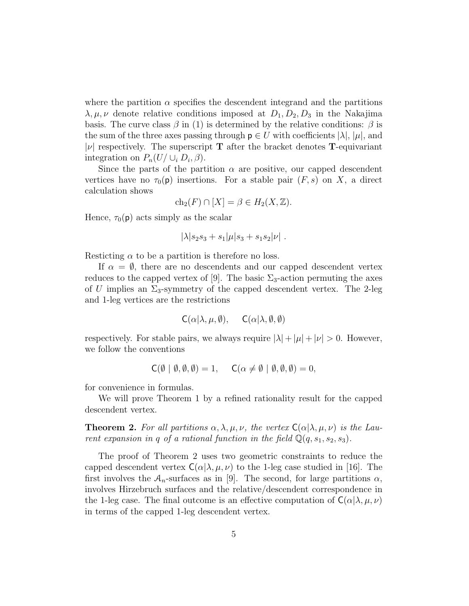where the partition  $\alpha$  specifies the descendent integrand and the partitions  $\lambda, \mu, \nu$  denote relative conditions imposed at  $D_1, D_2, D_3$  in the Nakajima basis. The curve class  $\beta$  in (1) is determined by the relative conditions:  $\beta$  is the sum of the three axes passing through  $p \in U$  with coefficients  $|\lambda|, |\mu|$ , and | $\nu$ | respectively. The superscript **T** after the bracket denotes **T**-equivariant integration on  $P_n(U/\cup_i D_i, \beta)$ .

Since the parts of the partition  $\alpha$  are positive, our capped descendent vertices have no  $\tau_0(\mathsf{p})$  insertions. For a stable pair  $(F, s)$  on X, a direct calculation shows

$$
ch_2(F) \cap [X] = \beta \in H_2(X, \mathbb{Z}).
$$

Hence,  $\tau_0(\mathsf{p})$  acts simply as the scalar

$$
|\lambda|s_2s_3+s_1|\mu|s_3+s_1s_2|\nu|.
$$

Resticting  $\alpha$  to be a partition is therefore no loss.

If  $\alpha = \emptyset$ , there are no descendents and our capped descendent vertex reduces to the capped vertex of [9]. The basic  $\Sigma_3$ -action permuting the axes of U implies an  $\Sigma_3$ -symmetry of the capped descendent vertex. The 2-leg and 1-leg vertices are the restrictions

$$
C(\alpha|\lambda,\mu,\emptyset), \quad C(\alpha|\lambda,\emptyset,\emptyset)
$$

respectively. For stable pairs, we always require  $|\lambda| + |\mu| + |\nu| > 0$ . However, we follow the conventions

$$
C(\emptyset | \emptyset, \emptyset, \emptyset) = 1, \quad C(\alpha \neq \emptyset | \emptyset, \emptyset, \emptyset) = 0,
$$

for convenience in formulas.

We will prove Theorem 1 by a refined rationality result for the capped descendent vertex.

**Theorem 2.** For all partitions  $\alpha, \lambda, \mu, \nu$ , the vertex  $C(\alpha|\lambda, \mu, \nu)$  is the Laurent expansion in q of a rational function in the field  $\mathbb{Q}(q,s_1,s_2,s_3)$ .

The proof of Theorem 2 uses two geometric constraints to reduce the capped descendent vertex  $C(\alpha|\lambda,\mu,\nu)$  to the 1-leg case studied in [16]. The first involves the  $A_n$ -surfaces as in [9]. The second, for large partitions  $\alpha$ , involves Hirzebruch surfaces and the relative/descendent correspondence in the 1-leg case. The final outcome is an effective computation of  $C(\alpha|\lambda,\mu,\nu)$ in terms of the capped 1-leg descendent vertex.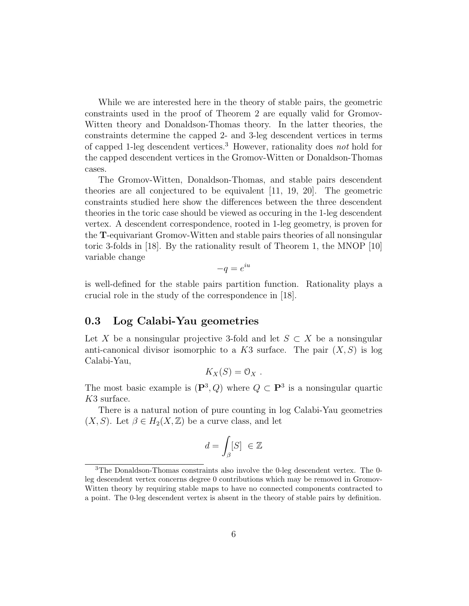While we are interested here in the theory of stable pairs, the geometric constraints used in the proof of Theorem 2 are equally valid for Gromov-Witten theory and Donaldson-Thomas theory. In the latter theories, the constraints determine the capped 2- and 3-leg descendent vertices in terms of capped 1-leg descendent vertices.<sup>3</sup> However, rationality does not hold for the capped descendent vertices in the Gromov-Witten or Donaldson-Thomas cases.

The Gromov-Witten, Donaldson-Thomas, and stable pairs descendent theories are all conjectured to be equivalent [11, 19, 20]. The geometric constraints studied here show the differences between the three descendent theories in the toric case should be viewed as occuring in the 1-leg descendent vertex. A descendent correspondence, rooted in 1-leg geometry, is proven for the T-equivariant Gromov-Witten and stable pairs theories of all nonsingular toric 3-folds in [18]. By the rationality result of Theorem 1, the MNOP [10] variable change

$$
-q = e^{iu}
$$

is well-defined for the stable pairs partition function. Rationality plays a crucial role in the study of the correspondence in [18].

### 0.3 Log Calabi-Yau geometries

Let X be a nonsingular projective 3-fold and let  $S \subset X$  be a nonsingular anti-canonical divisor isomorphic to a K3 surface. The pair  $(X, S)$  is log Calabi-Yau,

$$
K_X(S)=\mathfrak{O}_X.
$$

The most basic example is  $(\mathbf{P}^3, Q)$  where  $Q \subset \mathbf{P}^3$  is a nonsingular quartic K3 surface.

There is a natural notion of pure counting in log Calabi-Yau geometries  $(X, S)$ . Let  $\beta \in H_2(X, \mathbb{Z})$  be a curve class, and let

$$
d = \int_{\beta} [S] \in \mathbb{Z}
$$

<sup>3</sup>The Donaldson-Thomas constraints also involve the 0-leg descendent vertex. The 0 leg descendent vertex concerns degree 0 contributions which may be removed in Gromov-Witten theory by requiring stable maps to have no connected components contracted to a point. The 0-leg descendent vertex is absent in the theory of stable pairs by definition.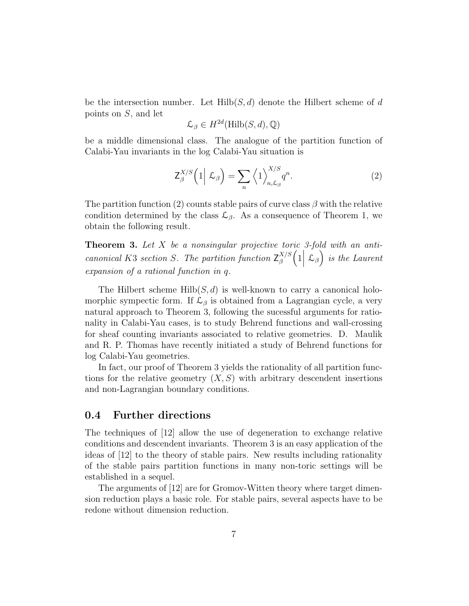be the intersection number. Let  $Hilb(S, d)$  denote the Hilbert scheme of d points on S, and let

$$
\mathcal{L}_{\beta} \in H^{2d}(\mathrm{Hilb}(S,d),\mathbb{Q})
$$

be a middle dimensional class. The analogue of the partition function of Calabi-Yau invariants in the log Calabi-Yau situation is

$$
\mathsf{Z}_{\beta}^{X/S}\left(1\Big|\mathcal{L}_{\beta}\right) = \sum_{n} \left\langle1\right\rangle_{n,\mathcal{L}_{\beta}}^{X/S} q^{n}.\tag{2}
$$

The partition function (2) counts stable pairs of curve class  $\beta$  with the relative condition determined by the class  $\mathcal{L}_{\beta}$ . As a consequence of Theorem 1, we obtain the following result.

**Theorem 3.** Let  $X$  be a nonsingular projective toric 3-fold with an anticanonical K3 section S. The partition function  $Z_{\beta}^{X/S}$ β  $\left(1\left|\right.{\mathcal{L}}_{\beta}\right)$  is the Laurent expansion of a rational function in q.

The Hilbert scheme  $Hilb(S, d)$  is well-known to carry a canonical holomorphic sympectic form. If  $\mathcal{L}_{\beta}$  is obtained from a Lagrangian cycle, a very natural approach to Theorem 3, following the sucessful arguments for rationality in Calabi-Yau cases, is to study Behrend functions and wall-crossing for sheaf counting invariants associated to relative geometries. D. Maulik and R. P. Thomas have recently initiated a study of Behrend functions for log Calabi-Yau geometries.

In fact, our proof of Theorem 3 yields the rationality of all partition functions for the relative geometry  $(X, S)$  with arbitrary descendent insertions and non-Lagrangian boundary conditions.

### 0.4 Further directions

The techniques of [12] allow the use of degeneration to exchange relative conditions and descendent invariants. Theorem 3 is an easy application of the ideas of [12] to the theory of stable pairs. New results including rationality of the stable pairs partition functions in many non-toric settings will be established in a sequel.

The arguments of [12] are for Gromov-Witten theory where target dimension reduction plays a basic role. For stable pairs, several aspects have to be redone without dimension reduction.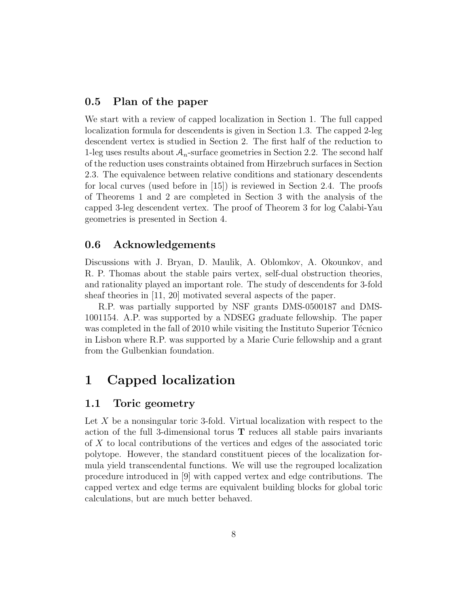### 0.5 Plan of the paper

We start with a review of capped localization in Section 1. The full capped localization formula for descendents is given in Section 1.3. The capped 2-leg descendent vertex is studied in Section 2. The first half of the reduction to 1-leg uses results about  $A_n$ -surface geometries in Section 2.2. The second half of the reduction uses constraints obtained from Hirzebruch surfaces in Section 2.3. The equivalence between relative conditions and stationary descendents for local curves (used before in [15]) is reviewed in Section 2.4. The proofs of Theorems 1 and 2 are completed in Section 3 with the analysis of the capped 3-leg descendent vertex. The proof of Theorem 3 for log Calabi-Yau geometries is presented in Section 4.

### 0.6 Acknowledgements

Discussions with J. Bryan, D. Maulik, A. Oblomkov, A. Okounkov, and R. P. Thomas about the stable pairs vertex, self-dual obstruction theories, and rationality played an important role. The study of descendents for 3-fold sheaf theories in [11, 20] motivated several aspects of the paper.

R.P. was partially supported by NSF grants DMS-0500187 and DMS-1001154. A.P. was supported by a NDSEG graduate fellowship. The paper was completed in the fall of 2010 while visiting the Instituto Superior Técnico in Lisbon where R.P. was supported by a Marie Curie fellowship and a grant from the Gulbenkian foundation.

# 1 Capped localization

### 1.1 Toric geometry

Let X be a nonsingular toric 3-fold. Virtual localization with respect to the action of the full 3-dimensional torus T reduces all stable pairs invariants of X to local contributions of the vertices and edges of the associated toric polytope. However, the standard constituent pieces of the localization formula yield transcendental functions. We will use the regrouped localization procedure introduced in [9] with capped vertex and edge contributions. The capped vertex and edge terms are equivalent building blocks for global toric calculations, but are much better behaved.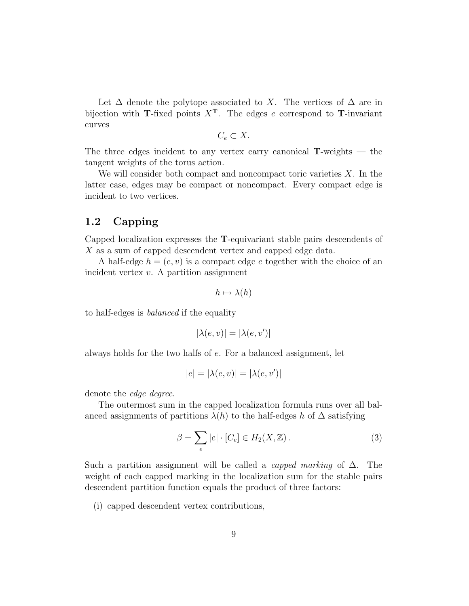Let  $\Delta$  denote the polytope associated to X. The vertices of  $\Delta$  are in bijection with T-fixed points  $X<sup>T</sup>$ . The edges e correspond to T-invariant curves

$$
C_e \subset X.
$$

The three edges incident to any vertex carry canonical  $T$ -weights  $-$  the tangent weights of the torus action.

We will consider both compact and noncompact toric varieties  $X$ . In the latter case, edges may be compact or noncompact. Every compact edge is incident to two vertices.

### 1.2 Capping

Capped localization expresses the T-equivariant stable pairs descendents of X as a sum of capped descendent vertex and capped edge data.

A half-edge  $h = (e, v)$  is a compact edge e together with the choice of an incident vertex  $v$ . A partition assignment

$$
h \mapsto \lambda(h)
$$

to half-edges is balanced if the equality

$$
|\lambda(e, v)| = |\lambda(e, v')|
$$

always holds for the two halfs of e. For a balanced assignment, let

$$
|e| = |\lambda(e, v)| = |\lambda(e, v')|
$$

denote the edge degree.

The outermost sum in the capped localization formula runs over all balanced assignments of partitions  $\lambda(h)$  to the half-edges h of  $\Delta$  satisfying

$$
\beta = \sum_{e} |e| \cdot [C_e] \in H_2(X, \mathbb{Z}). \tag{3}
$$

Such a partition assignment will be called a *capped marking* of  $\Delta$ . The weight of each capped marking in the localization sum for the stable pairs descendent partition function equals the product of three factors:

(i) capped descendent vertex contributions,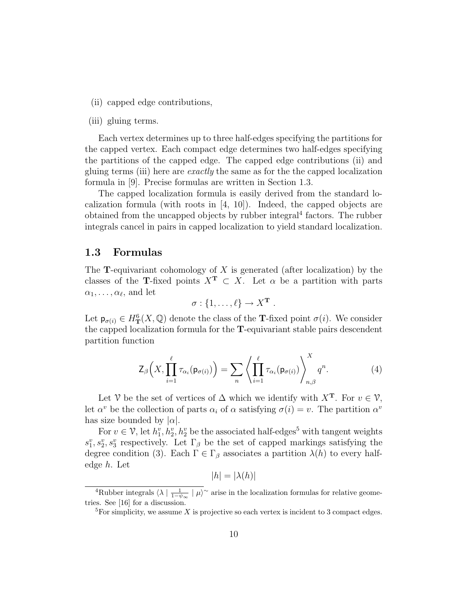(ii) capped edge contributions,

#### (iii) gluing terms.

Each vertex determines up to three half-edges specifying the partitions for the capped vertex. Each compact edge determines two half-edges specifying the partitions of the capped edge. The capped edge contributions (ii) and gluing terms (iii) here are exactly the same as for the the capped localization formula in [9]. Precise formulas are written in Section 1.3.

The capped localization formula is easily derived from the standard localization formula (with roots in [4, 10]). Indeed, the capped objects are obtained from the uncapped objects by rubber integral<sup>4</sup> factors. The rubber integrals cancel in pairs in capped localization to yield standard localization.

### 1.3 Formulas

The **T**-equivariant cohomology of X is generated (after localization) by the classes of the T-fixed points  $X^T \subset X$ . Let  $\alpha$  be a partition with parts  $\alpha_1, \ldots, \alpha_\ell$ , and let

$$
\sigma: \{1,\ldots,\ell\} \to X^{\mathbf{T}}.
$$

Let  $p_{\sigma(i)} \in H^6_{\mathbf{T}}(X, \mathbb{Q})$  denote the class of the **T**-fixed point  $\sigma(i)$ . We consider the capped localization formula for the T-equivariant stable pairs descendent partition function

$$
\mathsf{Z}_{\beta}\Big(X,\prod_{i=1}^{\ell} \tau_{\alpha_i}(\mathsf{p}_{\sigma(i)})\Big) = \sum_{n} \left\langle \prod_{i=1}^{\ell} \tau_{\alpha_i}(\mathsf{p}_{\sigma(i)}) \right\rangle_{n,\beta}^{X} q^n. \tag{4}
$$

Let V be the set of vertices of  $\Delta$  which we identify with  $X^T$ . For  $v \in \mathcal{V}$ , let  $\alpha^v$  be the collection of parts  $\alpha_i$  of  $\alpha$  satisfying  $\sigma(i) = v$ . The partition  $\alpha^v$ has size bounded by  $|\alpha|$ .

For  $v \in V$ , let  $h_1^v, h_2^v, h_2^v$  be the associated half-edges<sup>5</sup> with tangent weights  $s_1^v, s_2^v, s_3^v$  respectively. Let  $\Gamma_\beta$  be the set of capped markings satisfying the degree condition (3). Each  $\Gamma \in \Gamma_\beta$  associates a partition  $\lambda(h)$  to every halfedge h. Let

$$
|h| = |\lambda(h)|
$$

<sup>&</sup>lt;sup>4</sup>Rubber integrals  $\langle \lambda | \frac{1}{1-\psi_{\infty}} | \mu \rangle^{\sim}$  arise in the localization formulas for relative geometries. See [16] for a discussion.

<sup>&</sup>lt;sup>5</sup>For simplicity, we assume X is projective so each vertex is incident to 3 compact edges.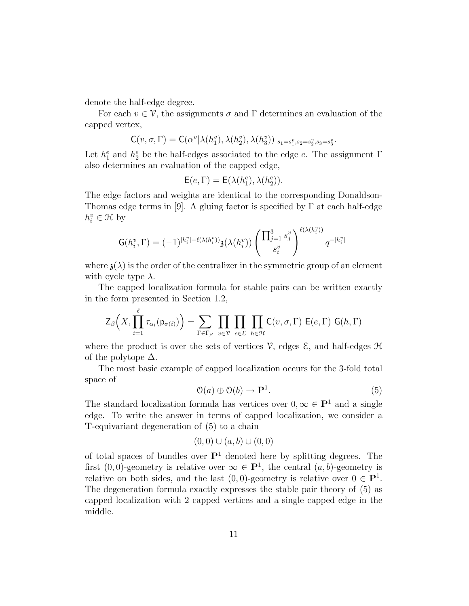denote the half-edge degree.

For each  $v \in \mathcal{V}$ , the assignments  $\sigma$  and  $\Gamma$  determines an evaluation of the capped vertex,

$$
\mathsf{C}(v,\sigma,\Gamma)=\mathsf{C}(\alpha^v|\lambda(h_1^v),\lambda(h_2^v),\lambda(h_3^v))|_{s_1=s_1^v,s_2=s_2^v,s_3=s_3^v}.
$$

Let  $h_1^e$  and  $h_2^e$  be the half-edges associated to the edge e. The assignment  $\Gamma$ also determines an evaluation of the capped edge,

$$
\mathsf{E}(e,\Gamma)=\mathsf{E}(\lambda(h^e_1),\lambda(h^e_2)).
$$

The edge factors and weights are identical to the corresponding Donaldson-Thomas edge terms in [9]. A gluing factor is specified by  $\Gamma$  at each half-edge  $h_i^v \in \mathcal{H}$  by

$$
\mathsf{G}(h_i^v, \Gamma) = (-1)^{|h_i^v| - \ell(\lambda(h_i^v))} \mathfrak{z}(\lambda(h_i^v)) \left( \frac{\prod_{j=1}^3 s_j^v}{s_i^v} \right)^{\ell(\lambda(h_i^v))} q^{-|h_i^v|}
$$

where  $\mathfrak{z}(\lambda)$  is the order of the centralizer in the symmetric group of an element with cycle type  $\lambda$ .

The capped localization formula for stable pairs can be written exactly in the form presented in Section 1.2,

$$
\mathsf{Z}_{\beta}\Big(X,\prod_{i=1}^{\ell} \tau_{\alpha_i}(\mathsf{p}_{\sigma(i)})\Big) = \sum_{\Gamma \in \Gamma_{\beta}} \prod_{v \in \mathcal{V}} \prod_{e \in \mathcal{E}} \prod_{h \in \mathcal{H}} \mathsf{C}(v,\sigma,\Gamma) \mathsf{E}(e,\Gamma) \mathsf{G}(h,\Gamma)
$$

where the product is over the sets of vertices  $\mathcal{V}$ , edges  $\mathcal{E}$ , and half-edges  $\mathcal{H}$ of the polytope  $\Delta$ .

The most basic example of capped localization occurs for the 3-fold total space of

$$
\mathcal{O}(a) \oplus \mathcal{O}(b) \to \mathbf{P}^1. \tag{5}
$$

The standard localization formula has vertices over  $0, \infty \in \mathbf{P}^1$  and a single edge. To write the answer in terms of capped localization, we consider a T-equivariant degeneration of (5) to a chain

$$
(0,0) \cup (a,b) \cup (0,0)
$$

of total spaces of bundles over  $\mathbf{P}^1$  denoted here by splitting degrees. The first  $(0,0)$ -geometry is relative over  $\infty \in \mathbf{P}^1$ , the central  $(a,b)$ -geometry is relative on both sides, and the last  $(0,0)$ -geometry is relative over  $0 \in \mathbf{P}^1$ . The degeneration formula exactly expresses the stable pair theory of (5) as capped localization with 2 capped vertices and a single capped edge in the middle.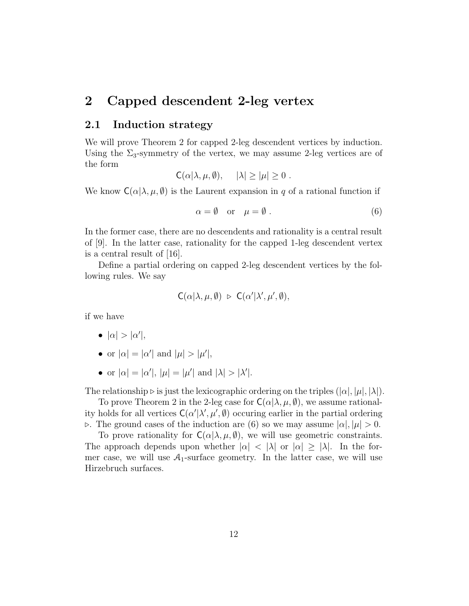# 2 Capped descendent 2-leg vertex

# 2.1 Induction strategy

We will prove Theorem 2 for capped 2-leg descendent vertices by induction. Using the  $\Sigma_3$ -symmetry of the vertex, we may assume 2-leg vertices are of the form

$$
C(\alpha|\lambda,\mu,\emptyset), \quad |\lambda| \geq |\mu| \geq 0.
$$

We know  $C(\alpha|\lambda,\mu,\emptyset)$  is the Laurent expansion in q of a rational function if

$$
\alpha = \emptyset \quad \text{or} \quad \mu = \emptyset \tag{6}
$$

In the former case, there are no descendents and rationality is a central result of [9]. In the latter case, rationality for the capped 1-leg descendent vertex is a central result of [16].

Define a partial ordering on capped 2-leg descendent vertices by the following rules. We say

$$
C(\alpha|\lambda,\mu,\emptyset) \;\triangleright\; C(\alpha'|\lambda',\mu',\emptyset),
$$

if we have

- $|\alpha| > |\alpha'|$ ,
- or  $|\alpha| = |\alpha'|$  and  $|\mu| > |\mu'|$ ,
- or  $|\alpha| = |\alpha'|$ ,  $|\mu| = |\mu'|$  and  $|\lambda| > |\lambda'|$ .

The relationship  $\triangleright$  is just the lexicographic ordering on the triples  $(|\alpha|, |\mu|, |\lambda|)$ .

To prove Theorem 2 in the 2-leg case for  $C(\alpha | \lambda, \mu, \emptyset)$ , we assume rationality holds for all vertices  $C(\alpha'|\lambda', \mu', \emptyset)$  occuring earlier in the partial ordering  $\triangleright$ . The ground cases of the induction are (6) so we may assume  $|\alpha|, |\mu| > 0$ .

To prove rationality for  $C(\alpha|\lambda,\mu,\emptyset)$ , we will use geometric constraints. The approach depends upon whether  $|\alpha| < |\lambda|$  or  $|\alpha| \geq |\lambda|$ . In the former case, we will use  $A_1$ -surface geometry. In the latter case, we will use Hirzebruch surfaces.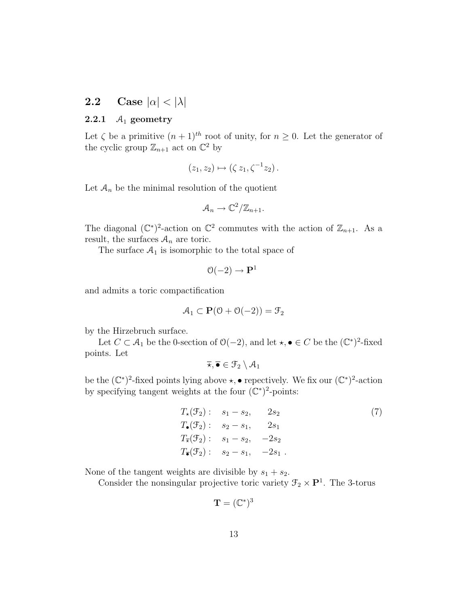# 2.2 Case  $|\alpha| < |\lambda|$

### 2.2.1  $\mathcal{A}_1$  geometry

Let  $\zeta$  be a primitive  $(n+1)^{th}$  root of unity, for  $n \geq 0$ . Let the generator of the cyclic group  $\mathbb{Z}_{n+1}$  act on  $\mathbb{C}^2$  by

$$
(z_1, z_2) \mapsto (\zeta z_1, \zeta^{-1} z_2).
$$

Let  $A_n$  be the minimal resolution of the quotient

$$
\mathcal{A}_n \to \mathbb{C}^2/\mathbb{Z}_{n+1}.
$$

The diagonal  $(\mathbb{C}^*)^2$ -action on  $\mathbb{C}^2$  commutes with the action of  $\mathbb{Z}_{n+1}$ . As a result, the surfaces  $\mathcal{A}_n$  are toric.

The surface  $A_1$  is isomorphic to the total space of

$$
\mathcal{O}(-2) \to \mathbf{P}^1
$$

and admits a toric compactification

$$
\mathcal{A}_1 \subset \mathbf{P}(\mathcal{O} + \mathcal{O}(-2)) = \mathcal{F}_2
$$

by the Hirzebruch surface.

Let  $C \subset A_1$  be the 0-section of  $\mathcal{O}(-2)$ , and let  $\star, \bullet \in C$  be the  $(\mathbb{C}^*)^2$ -fixed points. Let

$$
\overline{\star}, \overline{\bullet} \in \mathcal{F}_2 \setminus \mathcal{A}_1
$$

be the  $(\mathbb{C}^*)^2$ -fixed points lying above  $\star$ , • repectively. We fix our  $(\mathbb{C}^*)^2$ -action by specifying tangent weights at the four  $(\mathbb{C}^*)^2$ -points:

$$
T_{\star}(\mathcal{F}_{2}): \quad s_{1} - s_{2}, \qquad 2s_{2}
$$
  
\n
$$
T_{\bullet}(\mathcal{F}_{2}): \quad s_{2} - s_{1}, \qquad 2s_{1}
$$
  
\n
$$
T_{\star}(\mathcal{F}_{2}): \quad s_{1} - s_{2}, \qquad -2s_{2}
$$
  
\n
$$
T_{\bullet}(\mathcal{F}_{2}): \quad s_{2} - s_{1}, \qquad -2s_{1}.
$$
  
\n(7)

None of the tangent weights are divisible by  $s_1 + s_2$ .

Consider the nonsingular projective toric variety  $\mathcal{F}_2 \times \mathbf{P}^1$ . The 3-torus

$$
\mathbf{T}=(\mathbb{C}^*)^3
$$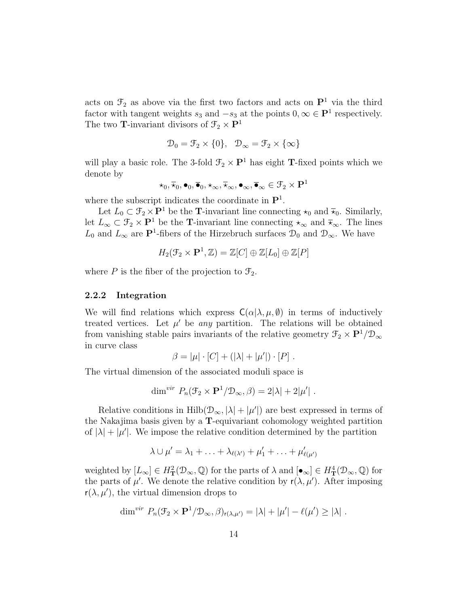acts on  $\mathcal{F}_2$  as above via the first two factors and acts on  $\mathbf{P}^1$  via the third factor with tangent weights  $s_3$  and  $-s_3$  at the points  $0, \infty \in \mathbf{P}^1$  respectively. The two T-invariant divisors of  $\mathfrak{F}_2\times\mathbf{P}^1$ 

$$
\mathcal{D}_0 = \mathcal{F}_2 \times \{0\}, \quad \mathcal{D}_{\infty} = \mathcal{F}_2 \times \{\infty\}
$$

will play a basic role. The 3-fold  $\mathcal{F}_2 \times \mathbf{P}^1$  has eight **T**-fixed points which we denote by

$$
\star_0,\overline{\star}_0, \bullet_0,\overline{\bullet}_0,\star_{\infty},\overline{\star}_{\infty},\bullet_{\infty},\overline{\bullet}_{\infty}\in\mathfrak{F}_2\times\mathbf{P}^1
$$

where the subscript indicates the coordinate in  $\mathbf{P}^1$ .

Let  $L_0 \subset \mathcal{F}_2 \times \mathbf{P}^1$  be the **T**-invariant line connecting  $\star_0$  and  $\bar{\star}_0$ . Similarly, let  $L_{\infty} \subset \mathcal{F}_2 \times \mathbf{P}^1$  be the T-invariant line connecting  $\star_{\infty}$  and  $\bar{\star}_{\infty}$ . The lines  $L_0$  and  $L_{\infty}$  are P<sup>1</sup>-fibers of the Hirzebruch surfaces  $\mathcal{D}_0$  and  $\mathcal{D}_{\infty}$ . We have

$$
H_2(\mathcal{F}_2 \times \mathbf{P}^1, \mathbb{Z}) = \mathbb{Z}[C] \oplus \mathbb{Z}[L_0] \oplus \mathbb{Z}[P]
$$

where  $P$  is the fiber of the projection to  $\mathcal{F}_2$ .

#### 2.2.2 Integration

We will find relations which express  $C(\alpha|\lambda,\mu,\emptyset)$  in terms of inductively treated vertices. Let  $\mu'$  be any partition. The relations will be obtained from vanishing stable pairs invariants of the relative geometry  $\mathfrak{F}_2 \times \mathbf{P}^1/\mathfrak{D}_{\infty}$ in curve class

$$
\beta = |\mu| \cdot [C] + (|\lambda| + |\mu'|) \cdot [P] .
$$

The virtual dimension of the associated moduli space is

$$
\dim^{vir} P_n(\mathcal{F}_2 \times \mathbf{P}^1/\mathcal{D}_{\infty}, \beta) = 2|\lambda| + 2|\mu'|.
$$

Relative conditions in  $\text{Hilb}(\mathcal{D}_{\infty}, |\lambda| + |\mu'|)$  are best expressed in terms of the Nakajima basis given by a T-equivariant cohomology weighted partition of  $|\lambda| + |\mu'|$ . We impose the relative condition determined by the partition

$$
\lambda \cup \mu' = \lambda_1 + \ldots + \lambda_{\ell(\lambda')} + \mu'_1 + \ldots + \mu'_{\ell(\mu')}
$$

weighted by  $[L_{\infty}] \in H^2_{\mathbf{T}}(\mathcal{D}_{\infty}, \mathbb{Q})$  for the parts of  $\lambda$  and  $[\bullet_{\infty}] \in H^4_{\mathbf{T}}(\mathcal{D}_{\infty}, \mathbb{Q})$  for the parts of  $\mu'$ . We denote the relative condition by  $r(\lambda, \mu')$ . After imposing  $r(\lambda, \mu')$ , the virtual dimension drops to

$$
\dim^{vir} P_n(\mathcal{F}_2 \times \mathbf{P}^1/\mathcal{D}_{\infty}, \beta)_{r(\lambda,\mu')} = |\lambda| + |\mu'| - \ell(\mu') \ge |\lambda|.
$$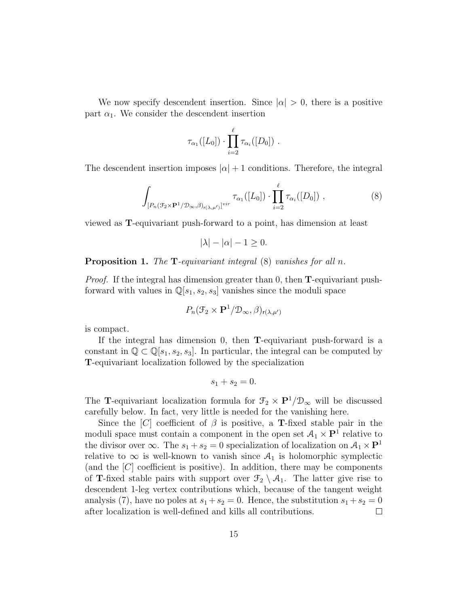We now specify descendent insertion. Since  $|\alpha| > 0$ , there is a positive part  $\alpha_1$ . We consider the descendent insertion

$$
\tau_{\alpha_1}([L_0])\cdot \prod_{i=2}^\ell \tau_{\alpha_i}([D_0])\ .
$$

The descendent insertion imposes  $|\alpha|+1$  conditions. Therefore, the integral

$$
\int_{[P_n(\mathcal{F}_2 \times \mathbf{P}^1/\mathcal{D}_{\infty}, \beta)_{r(\lambda, \mu')}]} \tau_{\alpha_1}([L_0]) \cdot \prod_{i=2}^{\ell} \tau_{\alpha_i}([D_0]) ,
$$
\n(8)

viewed as T-equivariant push-forward to a point, has dimension at least

$$
|\lambda| - |\alpha| - 1 \ge 0.
$$

#### Proposition 1. The T-equivariant integral  $(8)$  vanishes for all n.

*Proof.* If the integral has dimension greater than 0, then  $\bf{T}$ -equivariant pushforward with values in  $\mathbb{Q}[s_1,s_2,s_3]$  vanishes since the moduli space

$$
P_n(\mathcal{F}_2 \times \mathbf{P}^1/\mathcal{D}_{\infty}, \beta)_{r(\lambda, \mu')}
$$

is compact.

If the integral has dimension 0, then **T**-equivariant push-forward is a constant in 
$$
\mathbb{Q} \subset \mathbb{Q}[s_1, s_2, s_3]
$$
. In particular, the integral can be computed by **T**-equivariant localization followed by the specialization

$$
s_1 + s_2 = 0.
$$

The **T**-equivariant localization formula for  $\mathcal{F}_2 \times \mathbf{P}^1/\mathcal{D}_{\infty}$  will be discussed carefully below. In fact, very little is needed for the vanishing here.

Since the [C] coefficient of  $\beta$  is positive, a **T**-fixed stable pair in the moduli space must contain a component in the open set  $\mathcal{A}_1 \times \mathbf{P}^1$  relative to the divisor over  $\infty$ . The  $s_1 + s_2 = 0$  specialization of localization on  $\mathcal{A}_1 \times \mathbf{P}^1$ relative to  $\infty$  is well-known to vanish since  $A_1$  is holomorphic symplectic (and the  $[C]$  coefficient is positive). In addition, there may be components of **T**-fixed stable pairs with support over  $\mathcal{F}_2 \setminus \mathcal{A}_1$ . The latter give rise to descendent 1-leg vertex contributions which, because of the tangent weight analysis (7), have no poles at  $s_1 + s_2 = 0$ . Hence, the substitution  $s_1 + s_2 = 0$ after localization is well-defined and kills all contributions.  $\Box$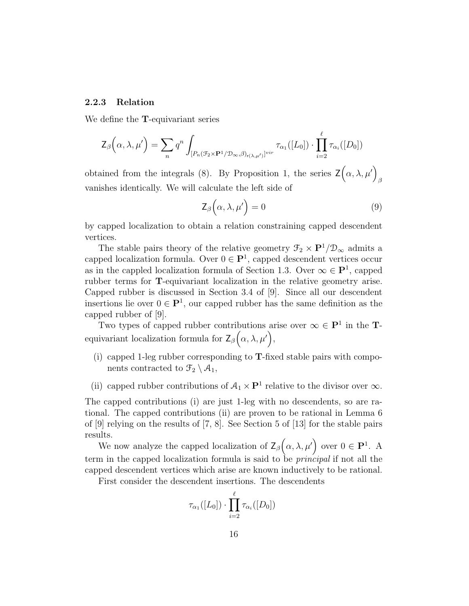#### 2.2.3 Relation

We define the T-equivariant series

$$
\mathsf{Z}_{\beta}\Big(\alpha,\lambda,\mu'\Big) = \sum_{n} q^{n} \int_{[P_{n}(\mathcal{F}_{2} \times \mathbf{P}^{1}/\mathcal{D}_{\infty},\beta)_{r(\lambda,\mu')}]} \tau_{\alpha_{1}}([L_{0}]) \cdot \prod_{i=2}^{\ell} \tau_{\alpha_{i}}([D_{0}])
$$

obtained from the integrals (8). By Proposition 1, the series  $\mathsf{Z}(\alpha,\lambda,\mu')$ β vanishes identically. We will calculate the left side of

$$
\mathsf{Z}_{\beta}\left(\alpha,\lambda,\mu'\right)=0\tag{9}
$$

by capped localization to obtain a relation constraining capped descendent vertices.

The stable pairs theory of the relative geometry  $\mathcal{F}_2 \times \mathbf{P}^1/\mathcal{D}_{\infty}$  admits a capped localization formula. Over  $0 \in \mathbf{P}^1$ , capped descendent vertices occur as in the cappled localization formula of Section 1.3. Over  $\infty \in \mathbf{P}^1$ , capped rubber terms for T-equivariant localization in the relative geometry arise. Capped rubber is discussed in Section 3.4 of [9]. Since all our descendent insertions lie over  $0 \in \mathbf{P}^1$ , our capped rubber has the same definition as the capped rubber of [9].

Two types of capped rubber contributions arise over  $\infty \in \mathbf{P}^1$  in the **T**equivariant localization formula for  $\mathsf{Z}_{\beta}(\alpha,\lambda,\mu')$ ,

- (i) capped 1-leg rubber corresponding to  $T$ -fixed stable pairs with components contracted to  $\mathcal{F}_2 \setminus \mathcal{A}_1$ ,
- (ii) capped rubber contributions of  $A_1 \times \mathbf{P}^1$  relative to the divisor over  $\infty$ .

The capped contributions (i) are just 1-leg with no descendents, so are rational. The capped contributions (ii) are proven to be rational in Lemma 6 of [9] relying on the results of [7, 8]. See Section 5 of [13] for the stable pairs results.

We now analyze the capped localization of  $\mathsf{Z}_{\beta}(\alpha,\lambda,\mu')$  over  $0 \in \mathbf{P}^1$ . A term in the capped localization formula is said to be principal if not all the capped descendent vertices which arise are known inductively to be rational.

First consider the descendent insertions. The descendents

$$
\tau_{\alpha_1}([L_0]) \cdot \prod_{i=2}^{\ell} \tau_{\alpha_i}([D_0])
$$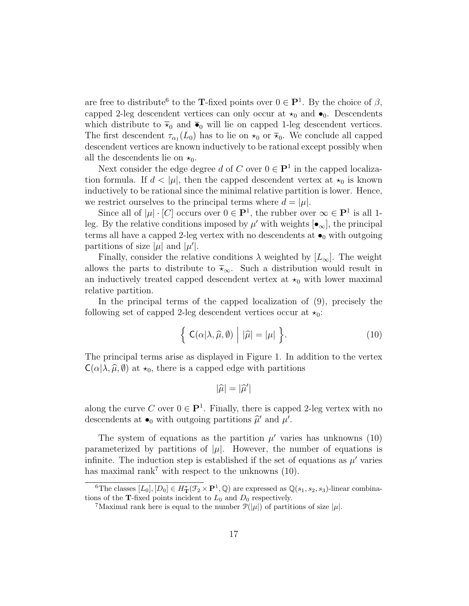are free to distribute<sup>6</sup> to the **T**-fixed points over  $0 \in \mathbf{P}^1$ . By the choice of  $\beta$ , capped 2-leg descendent vertices can only occur at  $\star_0$  and  $\bullet_0$ . Descendents which distribute to  $\bar{x}_0$  and  $\bar{\bullet}_0$  will lie on capped 1-leg descendent vertices. The first descendent  $\tau_{\alpha_1}(L_0)$  has to lie on  $\star_0$  or  $\overline{\star}_0$ . We conclude all capped descendent vertices are known inductively to be rational except possibly when all the descendents lie on  $\star_0$ .

Next consider the edge degree d of C over  $0 \in \mathbf{P}^1$  in the capped localization formula. If  $d < |\mu|$ , then the capped descendent vertex at  $\star_0$  is known inductively to be rational since the minimal relative partition is lower. Hence, we restrict ourselves to the principal terms where  $d = |\mu|$ .

Since all of  $|\mu| \cdot [C]$  occurs over  $0 \in \mathbf{P}^1$ , the rubber over  $\infty \in \mathbf{P}^1$  is all 1leg. By the relative conditions imposed by  $\mu'$  with weights  $[\bullet_\infty]$ , the principal terms all have a capped 2-leg vertex with no descendents at  $\bullet$ <sub>0</sub> with outgoing partitions of size  $|\mu|$  and  $|\mu'|$ .

Finally, consider the relative conditions  $\lambda$  weighted by  $[L_{\infty}]$ . The weight allows the parts to distribute to  $\bar{\star}_{\infty}$ . Such a distribution would result in an inductively treated capped descendent vertex at  $\star_0$  with lower maximal relative partition.

In the principal terms of the capped localization of (9), precisely the following set of capped 2-leg descendent vertices occur at  $\star_0$ :

$$
\left\{ \left| C(\alpha|\lambda,\widehat{\mu},\emptyset) \right| \left| \widehat{\mu} \right| = |\mu| \right. \right\}.
$$
 (10)

The principal terms arise as displayed in Figure 1. In addition to the vertex  $C(\alpha | \lambda, \widehat{\mu}, \emptyset)$  at  $\star_0$ , there is a capped edge with partitions

$$
|\widehat{\mu}|=|\widehat{\mu}'|
$$

along the curve C over  $0 \in \mathbf{P}^1$ . Finally, there is capped 2-leg vertex with no descendents at  $\bullet_0$  with outgoing partitions  $\widehat{\mu}'$  and  $\mu'$ .

The system of equations as the partition  $\mu'$  varies has unknowns (10) parameterized by partitions of  $|\mu|$ . However, the number of equations is infinite. The induction step is established if the set of equations as  $\mu'$  varies has maximal rank<sup>7</sup> with respect to the unknowns  $(10)$ .

<sup>&</sup>lt;sup>6</sup>The classes  $[L_0], [D_0] \in H^*_{\mathbf{T}}(\mathcal{F}_2 \times \mathbf{P}^1, \mathbb{Q})$  are expressed as  $\mathbb{Q}(s_1, s_2, s_3)$ -linear combinations of the **T**-fixed points incident to  $L_0$  and  $D_0$  respectively.

<sup>&</sup>lt;sup>7</sup>Maximal rank here is equal to the number  $\mathcal{P}(|\mu|)$  of partitions of size  $|\mu|$ .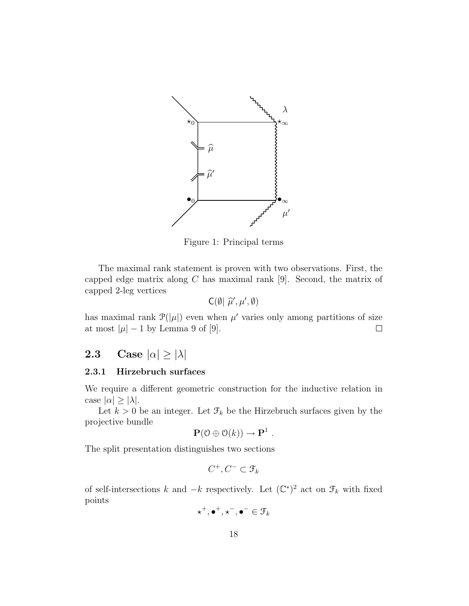

Figure 1: Principal terms

The maximal rank statement is proven with two observations. First, the capped edge matrix along  $C$  has maximal rank [9]. Second, the matrix of capped 2-leg vertices

$$
C(\emptyset | \widehat{\mu}', \mu', \emptyset)
$$

has maximal rank  $\mathcal{P}(|\mu|)$  even when  $\mu'$  varies only among partitions of size at most  $|\mu| - 1$  by Lemma 9 of [9].  $\Box$ 

# 2.3 Case  $|\alpha| \ge |\lambda|$

#### 2.3.1 Hirzebruch surfaces

We require a different geometric construction for the inductive relation in case  $|\alpha| \geq |\lambda|$ .

Let  $k > 0$  be an integer. Let  $\mathcal{F}_k$  be the Hirzebruch surfaces given by the projective bundle

$$
\mathbf{P}(\mathbf{0}\oplus\mathbf{O}(k))\to\mathbf{P}^1.
$$

The split presentation distinguishes two sections

$$
C^+,C^-\subset \mathcal{F}_k
$$

of self-intersections k and  $-k$  respectively. Let  $(\mathbb{C}^*)^2$  act on  $\mathcal{F}_k$  with fixed points

$$
\star^+,\bullet^+,\star^-,\bullet^-\in\mathcal{F}_k
$$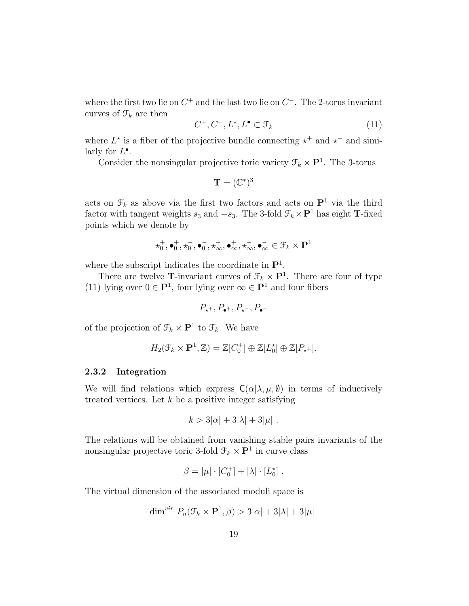where the first two lie on  $C^+$  and the last two lie on  $C^-$ . The 2-torus invariant curves of  $\mathcal{F}_k$  are then

$$
C^+, C^-, L^*, L^\bullet \subset \mathcal{F}_k \tag{11}
$$

where  $L^*$  is a fiber of the projective bundle connecting  $\star^+$  and  $\star^-$  and similarly for  $L^{\bullet}$ .

Consider the nonsingular projective toric variety  $\mathcal{F}_k \times \mathbf{P}^1$ . The 3-torus

$$
\mathbf{T}=(\mathbb{C}^*)^3
$$

acts on  $\mathcal{F}_k$  as above via the first two factors and acts on  $\mathbf{P}^1$  via the third factor with tangent weights  $s_3$  and  $-s_3$ . The 3-fold  $\mathcal{F}_k \times \mathbf{P}^1$  has eight **T**-fixed points which we denote by

$$
\star_0^+,\bullet_0^+,\star_0^-,\bullet_0^-,\star_\infty^+,\bullet_\infty^+,\star_\infty^-,\bullet_\infty^-\in\mathfrak{F}_k\times\mathbf{P}^1
$$

where the subscript indicates the coordinate in  $\mathbf{P}^1$ .

There are twelve **T**-invariant curves of  $\mathcal{F}_k \times \mathbf{P}^1$ . There are four of type (11) lying over  $0 \in \mathbf{P}^1$ , four lying over  $\infty \in \mathbf{P}^1$  and four fibers

$$
P_{\star^+}, P_{\bullet^+}, P_{\star^-}, P_{\bullet^-}
$$

of the projection of  $\mathcal{F}_k \times \mathbf{P}^1$  to  $\mathcal{F}_k$ . We have

$$
H_2(\mathcal{F}_k\times\mathbf{P}^1,\mathbb{Z})=\mathbb{Z}[C_0^+]\oplus\mathbb{Z}[L_0^{\star}]\oplus\mathbb{Z}[P_{\star^+}].
$$

#### 2.3.2 Integration

We will find relations which express  $C(\alpha|\lambda,\mu,\emptyset)$  in terms of inductively treated vertices. Let  $k$  be a positive integer satisfying

$$
k > 3|\alpha| + 3|\lambda| + 3|\mu|.
$$

The relations will be obtained from vanishing stable pairs invariants of the nonsingular projective toric 3-fold  $\mathcal{F}_k \times \mathbf{P}^1$  in curve class

$$
\beta = |\mu| \cdot [C_0^+] + |\lambda| \cdot [L_0^*] .
$$

The virtual dimension of the associated moduli space is

$$
\dim^{vir} P_n(\mathcal{F}_k \times \mathbf{P}^1, \beta) > 3|\alpha| + 3|\lambda| + 3|\mu|
$$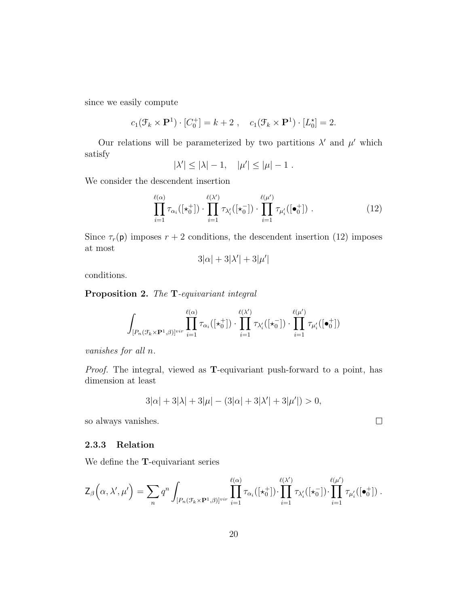since we easily compute

$$
c_1(\mathcal{F}_k \times \mathbf{P}^1) \cdot [C_0^+] = k + 2 \;, \quad c_1(\mathcal{F}_k \times \mathbf{P}^1) \cdot [L_0^*] = 2.
$$

Our relations will be parameterized by two partitions  $\lambda'$  and  $\mu'$  which satisfy

$$
|\lambda'| \le |\lambda| - 1, \quad |\mu'| \le |\mu| - 1.
$$

We consider the descendent insertion

$$
\prod_{i=1}^{\ell(\alpha)} \tau_{\alpha_i}([\star_0^+]) \cdot \prod_{i=1}^{\ell(\lambda')} \tau_{\lambda_i'}([\star_0^-]) \cdot \prod_{i=1}^{\ell(\mu')} \tau_{\mu_i'}([\bullet_0^+]) . \qquad (12)
$$

Since  $\tau_r(\mathsf{p})$  imposes  $r + 2$  conditions, the descendent insertion (12) imposes at most

$$
3|\alpha| + 3|\lambda'| + 3|\mu'|
$$

conditions.

Proposition 2. The T-equivariant integral

$$
\int_{[P_n(\mathcal{F}_k\times\mathbf{P}^1,\beta)]^{vir}}\prod_{i=1}^{\ell(\alpha)}\tau_{\alpha_i}([\star_0^+])\cdot\prod_{i=1}^{\ell(\lambda')}\tau_{\lambda_i'}([\star_0^-])\cdot\prod_{i=1}^{\ell(\mu')}\tau_{\mu_i'}([\bullet_0^+])
$$

vanishes for all n.

Proof. The integral, viewed as T-equivariant push-forward to a point, has dimension at least

$$
3|\alpha| + 3|\lambda| + 3|\mu| - (3|\alpha| + 3|\lambda'| + 3|\mu'|) > 0,
$$

so always vanishes.

#### 2.3.3 Relation

We define the T-equivariant series

$$
\mathsf{Z}_{\beta}\Big(\alpha,\lambda',\mu'\Big)=\sum_{n}q^n\int_{[P_n(\mathcal{F}_k\times\mathbf{P}^1,\beta)]^{vir}}\prod_{i=1}^{\ell(\alpha)}\tau_{\alpha_i}([\star_0^+])\cdot\prod_{i=1}^{\ell(\lambda')}\tau_{\lambda_i'}([\star_0^-])\cdot\prod_{i=1}^{\ell(\mu')}\tau_{\mu_i'}([\bullet_0^+])\ .
$$

 $\Box$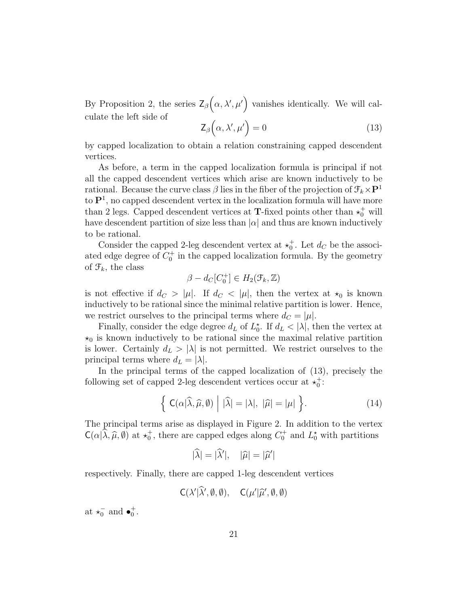By Proposition 2, the series  $\mathsf{Z}_{\beta}(\alpha,\lambda',\mu')$  vanishes identically. We will calculate the left side of

$$
\mathsf{Z}_{\beta}\left(\alpha,\lambda',\mu'\right)=0\tag{13}
$$

by capped localization to obtain a relation constraining capped descendent vertices.

As before, a term in the capped localization formula is principal if not all the capped descendent vertices which arise are known inductively to be rational. Because the curve class  $\beta$  lies in the fiber of the projection of  $\mathcal{F}_k \times \mathbf{P}^1$ to  $\mathbf{P}^1$ , no capped descendent vertex in the localization formula will have more than 2 legs. Capped descendent vertices at **T**-fixed points other than  $\star_0^+$  will have descendent partition of size less than  $|\alpha|$  and thus are known inductively to be rational.

Consider the capped 2-leg descendent vertex at  $\star_0^+$ . Let  $d_C$  be the associated edge degree of  $C_0^+$  in the capped localization formula. By the geometry of  $\mathcal{F}_k$ , the class

$$
\beta - d_C[C_0^+] \in H_2(\mathcal{F}_k, \mathbb{Z})
$$

is not effective if  $d_C > |\mu|$ . If  $d_C < |\mu|$ , then the vertex at  $\star_0$  is known inductively to be rational since the minimal relative partition is lower. Hence, we restrict ourselves to the principal terms where  $d_C = |\mu|$ .

Finally, consider the edge degree  $d_L$  of  $L_0^{\star}$ . If  $d_L < |\lambda|$ , then the vertex at  $\star_0$  is known inductively to be rational since the maximal relative partition is lower. Certainly  $d_L > |\lambda|$  is not permitted. We restrict ourselves to the principal terms where  $d_L = |\lambda|$ .

In the principal terms of the capped localization of (13), precisely the following set of capped 2-leg descendent vertices occur at  $\star_0^+$ :

$$
\left\{ \mathsf{C}(\alpha|\widehat{\lambda},\widehat{\mu},\emptyset) \mid |\widehat{\lambda}| = |\lambda|, |\widehat{\mu}| = |\mu| \right\}.
$$
 (14)

The principal terms arise as displayed in Figure 2. In addition to the vertex  $C(\alpha|\lambda, \hat{\mu}, \emptyset)$  at  $\star_0^+$ , there are capped edges along  $C_0^+$  and  $L_0^*$  with partitions

$$
|\hat{\lambda}| = |\hat{\lambda}'|, \quad |\hat{\mu}| = |\hat{\mu}'|
$$

respectively. Finally, there are capped 1-leg descendent vertices

$$
C(\lambda'|\widehat{\lambda}', \emptyset, \emptyset), \quad C(\mu'|\widehat{\mu}', \emptyset, \emptyset)
$$

at  $\star_0^-$  and  $\bullet_0^+$ .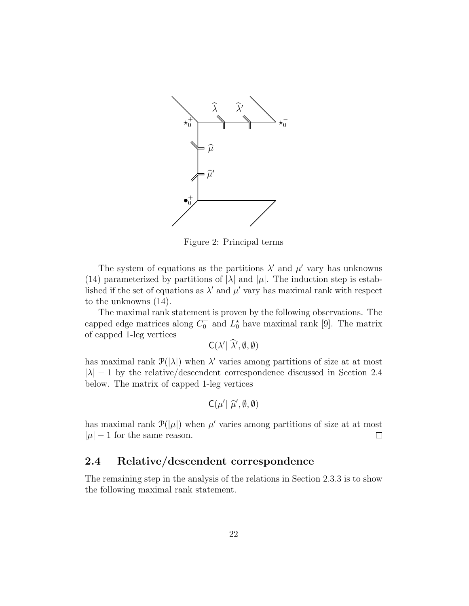

Figure 2: Principal terms

The system of equations as the partitions  $\lambda'$  and  $\mu'$  vary has unknowns (14) parameterized by partitions of  $|\lambda|$  and  $|\mu|$ . The induction step is established if the set of equations as  $\lambda'$  and  $\mu'$  vary has maximal rank with respect to the unknowns (14).

The maximal rank statement is proven by the following observations. The capped edge matrices along  $C_0^+$  and  $L_0^*$  have maximal rank [9]. The matrix of capped 1-leg vertices

 $C(\lambda'|\ \widehat{\lambda}', \emptyset, \emptyset)$ 

has maximal rank  $\mathcal{P}(|\lambda|)$  when  $\lambda'$  varies among partitions of size at at most  $|\lambda| - 1$  by the relative/descendent correspondence discussed in Section 2.4 below. The matrix of capped 1-leg vertices

$$
C(\mu'|\ \widehat{\mu}', \emptyset, \emptyset)
$$

has maximal rank  $\mathcal{P}(|\mu|)$  when  $\mu'$  varies among partitions of size at at most  $|\mu| - 1$  for the same reason.  $\Box$ 

# 2.4 Relative/descendent correspondence

The remaining step in the analysis of the relations in Section 2.3.3 is to show the following maximal rank statement.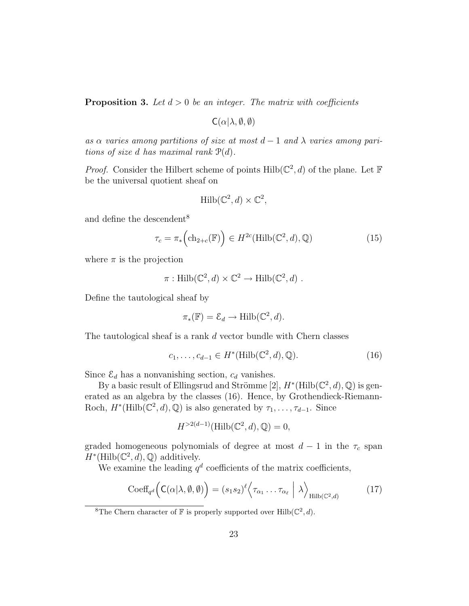**Proposition 3.** Let  $d > 0$  be an integer. The matrix with coefficients

 $C(\alpha|\lambda, \emptyset, \emptyset)$ 

as  $\alpha$  varies among partitions of size at most  $d-1$  and  $\lambda$  varies among paritions of size d has maximal rank  $\mathcal{P}(d)$ .

*Proof.* Consider the Hilbert scheme of points  $Hilb(\mathbb{C}^2, d)$  of the plane. Let F be the universal quotient sheaf on

$$
\mathrm{Hilb}(\mathbb{C}^2, d) \times \mathbb{C}^2,
$$

and define the descendent<sup>8</sup>

$$
\tau_c = \pi_* \left( \text{ch}_{2+c}(\mathbb{F}) \right) \in H^{2c}(\text{Hilb}(\mathbb{C}^2, d), \mathbb{Q}) \tag{15}
$$

where  $\pi$  is the projection

$$
\pi: \mathrm{Hilb}(\mathbb{C}^2, d) \times \mathbb{C}^2 \to \mathrm{Hilb}(\mathbb{C}^2, d) .
$$

Define the tautological sheaf by

$$
\pi_*(\mathbb{F}) = \mathcal{E}_d \to \text{Hilb}(\mathbb{C}^2, d).
$$

The tautological sheaf is a rank d vector bundle with Chern classes

$$
c_1, \dots, c_{d-1} \in H^*(\text{Hilb}(\mathbb{C}^2, d), \mathbb{Q}).\tag{16}
$$

Since  $\mathcal{E}_d$  has a nonvanishing section,  $c_d$  vanishes.

By a basic result of Ellingsrud and Strömme [2],  $H^*(\text{Hilb}(\mathbb{C}^2, d), \mathbb{Q})$  is generated as an algebra by the classes (16). Hence, by Grothendieck-Riemann-Roch,  $H^*(\text{Hilb}(\mathbb{C}^2, d), \mathbb{Q})$  is also generated by  $\tau_1, \ldots, \tau_{d-1}$ . Since

$$
H^{>2(d-1)}(\mathrm{Hilb}(\mathbb{C}^2,d),\mathbb{Q})=0,
$$

graded homogeneous polynomials of degree at most  $d-1$  in the  $\tau_c$  span  $H^*(\text{Hilb}(\mathbb{C}^2, d), \mathbb{Q})$  additively.

We examine the leading  $q^d$  coefficients of the matrix coefficients,

$$
\mathrm{Coeff}_{q^d}\Big(\mathsf{C}(\alpha|\lambda,\emptyset,\emptyset)\Big) = (s_1s_2)^{\ell} \Big\langle \tau_{\alpha_1} \dots \tau_{\alpha_\ell} \mid \lambda \Big\rangle_{\mathrm{Hilb}(\mathbb{C}^2,d)} \tag{17}
$$

<sup>8</sup>The Chern character of  $\mathbb F$  is properly supported over Hilb( $\mathbb C^2$ , d).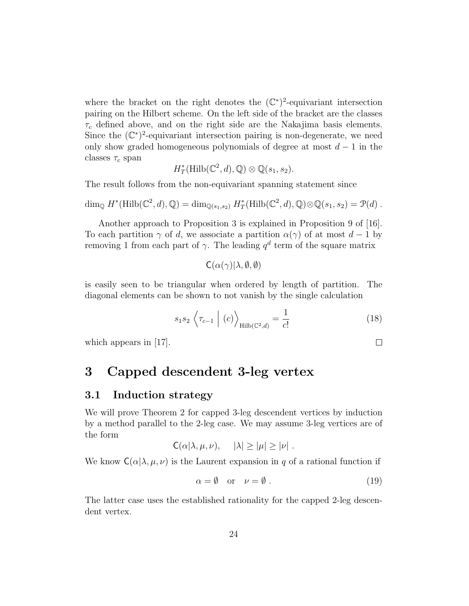where the bracket on the right denotes the  $(\mathbb{C}^*)^2$ -equivariant intersection pairing on the Hilbert scheme. On the left side of the bracket are the classes  $\tau_c$  defined above, and on the right side are the Nakajima basis elements. Since the  $(\mathbb{C}^*)^2$ -equivariant intersection pairing is non-degenerate, we need only show graded homogeneous polynomials of degree at most  $d-1$  in the classes  $\tau_c$  span

$$
H^*_{T}(\mathrm{Hilb}(\mathbb{C}^2,d),\mathbb{Q})\otimes\mathbb{Q}(s_1,s_2).
$$

The result follows from the non-equivariant spanning statement since

$$
\dim_{\mathbb{Q}} H^*(\mathrm{Hilb}(\mathbb{C}^2,d),\mathbb{Q}) = \dim_{\mathbb{Q}(s_1,s_2)} H^*_T(\mathrm{Hilb}(\mathbb{C}^2,d),\mathbb{Q}) \otimes \mathbb{Q}(s_1,s_2) = \mathcal{P}(d) .
$$

Another approach to Proposition 3 is explained in Proposition 9 of [16]. To each partition  $\gamma$  of d, we associate a partition  $\alpha(\gamma)$  of at most  $d-1$  by removing 1 from each part of  $\gamma$ . The leading  $q^d$  term of the square matrix

$$
C(\alpha(\gamma)|\lambda,\emptyset,\emptyset)
$$

is easily seen to be triangular when ordered by length of partition. The diagonal elements can be shown to not vanish by the single calculation

$$
s_1 s_2 \left\langle \tau_{c-1} \mid (c) \right\rangle_{\text{Hilb}(\mathbb{C}^2, d)} = \frac{1}{c!} \tag{18}
$$

 $\Box$ 

which appears in  $|17|$ .

# 3 Capped descendent 3-leg vertex

### 3.1 Induction strategy

We will prove Theorem 2 for capped 3-leg descendent vertices by induction by a method parallel to the 2-leg case. We may assume 3-leg vertices are of the form

$$
C(\alpha|\lambda,\mu,\nu), \quad |\lambda| \geq |\mu| \geq |\nu|.
$$

We know  $C(\alpha|\lambda,\mu,\nu)$  is the Laurent expansion in q of a rational function if

$$
\alpha = \emptyset \quad \text{or} \quad \nu = \emptyset \tag{19}
$$

The latter case uses the established rationality for the capped 2-leg descendent vertex.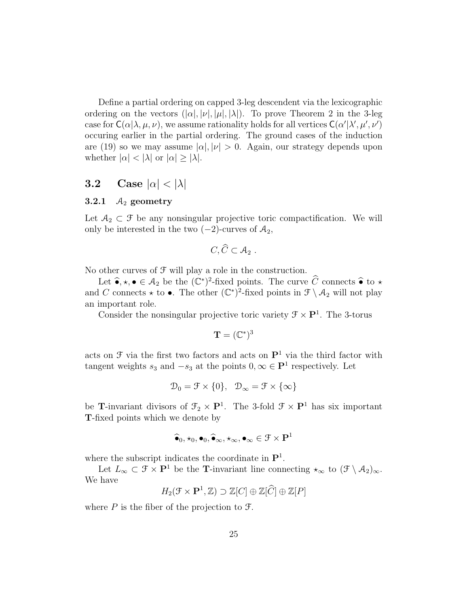Define a partial ordering on capped 3-leg descendent via the lexicographic ordering on the vectors  $(|\alpha|, |\nu|, |\mu|, |\lambda|)$ . To prove Theorem 2 in the 3-leg case for  $C(\alpha|\lambda,\mu,\nu)$ , we assume rationality holds for all vertices  $C(\alpha'|\lambda',\mu',\nu')$ occuring earlier in the partial ordering. The ground cases of the induction are (19) so we may assume  $|\alpha|, |\nu| > 0$ . Again, our strategy depends upon whether  $|\alpha| < |\lambda|$  or  $|\alpha| \geq |\lambda|$ .

# 3.2 Case  $|\alpha| < |\lambda|$

#### 3.2.1  $A_2$  geometry

Let  $A_2 \subset \mathcal{F}$  be any nonsingular projective toric compactification. We will only be interested in the two  $(-2)$ -curves of  $A_2$ ,

$$
C,\widehat{C}\subset \mathcal{A}_2.
$$

No other curves of  $\mathcal F$  will play a role in the construction.

Let  $\hat{\bullet}, \star, \bullet \in \mathcal{A}_2$  be the  $(\mathbb{C}^*)^2$ -fixed points. The curve  $\widehat{C}$  connects  $\hat{\bullet}$  to  $\star$ and C connects  $\star$  to  $\bullet$ . The other  $(\mathbb{C}^*)^2$ -fixed points in  $\mathcal{F}\setminus\mathcal{A}_2$  will not play an important role.

Consider the nonsingular projective toric variety  $\mathcal{F} \times \mathbf{P}^1$ . The 3-torus

$$
\mathbf{T}=(\mathbb{C}^*)^3
$$

acts on  $\mathcal F$  via the first two factors and acts on  $\mathbf P^1$  via the third factor with tangent weights  $s_3$  and  $-s_3$  at the points  $0, \infty \in \mathbf{P}^1$  respectively. Let

$$
\mathcal{D}_0 = \mathcal{F} \times \{0\}, \quad \mathcal{D}_{\infty} = \mathcal{F} \times \{\infty\}
$$

be **T**-invariant divisors of  $\mathcal{F}_2 \times \mathbf{P}^1$ . The 3-fold  $\mathcal{F} \times \mathbf{P}^1$  has six important T-fixed points which we denote by

$$
\widehat{\bullet}_0, \star_0, \bullet_0, \widehat{\bullet}_\infty, \star_\infty, \bullet_\infty \in \mathfrak{F} \times \mathbf{P}^1
$$

where the subscript indicates the coordinate in  $\mathbf{P}^1$ .

Let  $L_{\infty} \subset \mathcal{F} \times \mathbf{P}^1$  be the T-invariant line connecting  $\star_{\infty}$  to  $(\mathcal{F} \setminus A_2)_{\infty}$ . We have

$$
H_2(\mathcal{F} \times \mathbf{P}^1, \mathbb{Z}) \supset \mathbb{Z}[C] \oplus \mathbb{Z}[\widehat{C}] \oplus \mathbb{Z}[P]
$$

where  $P$  is the fiber of the projection to  $\mathcal{F}$ .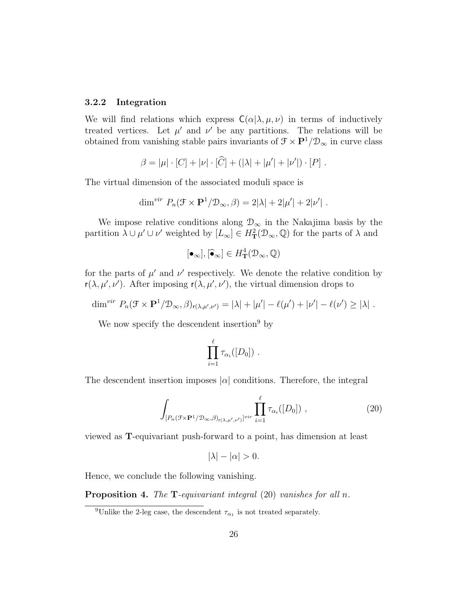#### 3.2.2 Integration

We will find relations which express  $C(\alpha|\lambda,\mu,\nu)$  in terms of inductively treated vertices. Let  $\mu'$  and  $\nu'$  be any partitions. The relations will be obtained from vanishing stable pairs invariants of  $\mathcal{F}\times\mathbf{P}^1/\mathcal{D}_\infty$  in curve class

$$
\beta = |\mu| \cdot [C] + |\nu| \cdot [\widehat{C}] + (|\lambda| + |\mu'| + |\nu'|) \cdot [P] .
$$

The virtual dimension of the associated moduli space is

$$
\dim^{vir} P_n(\mathcal{F} \times \mathbf{P}^1/\mathcal{D}_{\infty}, \beta) = 2|\lambda| + 2|\mu'| + 2|\nu'|.
$$

We impose relative conditions along  $\mathcal{D}_{\infty}$  in the Nakajima basis by the partition  $\lambda \cup \mu' \cup \nu'$  weighted by  $[L_\infty] \in H^2_{\mathbf{T}}(\mathcal{D}_\infty, \mathbb{Q})$  for the parts of  $\lambda$  and

$$
[\bullet_\infty], [\widehat{\bullet}_\infty] \in H^4_\mathbf{T}(\mathcal{D}_\infty, \mathbb{Q})
$$

for the parts of  $\mu'$  and  $\nu'$  respectively. We denote the relative condition by  $r(\lambda, \mu', \nu')$ . After imposing  $r(\lambda, \mu', \nu')$ , the virtual dimension drops to

$$
\dim^{vir} P_n(\mathcal{F} \times \mathbf{P}^1/\mathcal{D}_{\infty}, \beta)_{r(\lambda,\mu',\nu')} = |\lambda| + |\mu'| - \ell(\mu') + |\nu'| - \ell(\nu') \ge |\lambda|.
$$

We now specify the descendent insertion<sup>9</sup> by

$$
\prod_{i=1}^{\ell} \tau_{\alpha_i}([D_0]) \ .
$$

The descendent insertion imposes  $|\alpha|$  conditions. Therefore, the integral

$$
\int_{[P_n(\mathcal{F}\times\mathbf{P}^1/\mathcal{D}_{\infty},\beta)_{r(\lambda,\mu',\nu')}]^{vir}} \prod_{i=1}^{\ell} \tau_{\alpha_i}([D_0]) ,
$$
\n(20)

viewed as T-equivariant push-forward to a point, has dimension at least

$$
|\lambda| - |\alpha| > 0.
$$

Hence, we conclude the following vanishing.

**Proposition 4.** The  $T$ -equivariant integral  $(20)$  vanishes for all n.

<sup>&</sup>lt;sup>9</sup>Unlike the 2-leg case, the descendent  $\tau_{\alpha_1}$  is not treated separately.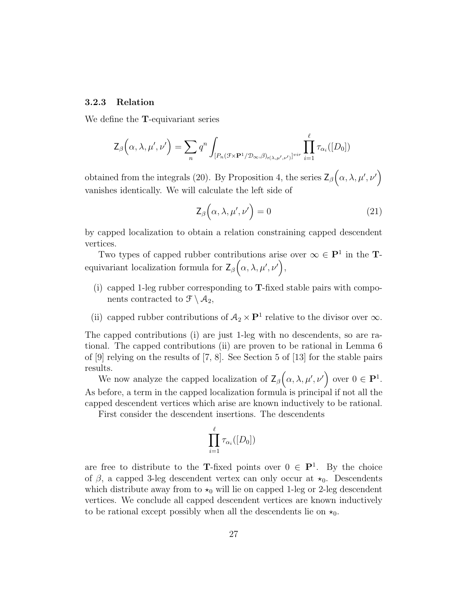#### 3.2.3 Relation

We define the T-equivariant series

$$
\mathsf{Z}_{\beta}\Big(\alpha,\lambda,\mu',\nu'\Big)=\sum_{n}q^n\int_{[P_n(\mathcal{F}\times\mathbf{P}^1/\mathcal{D}_{\infty},\beta)_{r(\lambda,\mu',\nu')}]^{vir}}\prod_{i=1}^{\ell}\tau_{\alpha_i}([D_0])
$$

obtained from the integrals (20). By Proposition 4, the series  $\mathsf{Z}_{\beta}(\alpha,\lambda,\mu',\nu')$ vanishes identically. We will calculate the left side of

$$
\mathsf{Z}_{\beta}\Big(\alpha,\lambda,\mu',\nu'\Big)=0\tag{21}
$$

by capped localization to obtain a relation constraining capped descendent vertices.

Two types of capped rubber contributions arise over  $\infty \in \mathbf{P}^1$  in the **T**equivariant localization formula for  $\mathsf{Z}_{\beta}\big(\alpha,\lambda,\mu',\nu'\big),$ 

- (i) capped 1-leg rubber corresponding to  $T$ -fixed stable pairs with components contracted to  $\mathcal{F} \setminus \mathcal{A}_2$ ,
- (ii) capped rubber contributions of  $A_2 \times \mathbf{P}^1$  relative to the divisor over  $\infty$ .

The capped contributions (i) are just 1-leg with no descendents, so are rational. The capped contributions (ii) are proven to be rational in Lemma 6 of [9] relying on the results of [7, 8]. See Section 5 of [13] for the stable pairs results.

We now analyze the capped localization of  $\mathsf{Z}_{\beta}\big(\alpha,\lambda,\mu',\nu'\big)$  over  $0 \in \mathbf{P}^1$ . As before, a term in the capped localization formula is principal if not all the capped descendent vertices which arise are known inductively to be rational.

First consider the descendent insertions. The descendents

$$
\prod_{i=1}^\ell \tau_{\alpha_i}([D_0])
$$

are free to distribute to the T-fixed points over  $0 \in \mathbf{P}^1$ . By the choice of  $\beta$ , a capped 3-leg descendent vertex can only occur at  $\star_0$ . Descendents which distribute away from to  $\star_0$  will lie on capped 1-leg or 2-leg descendent vertices. We conclude all capped descendent vertices are known inductively to be rational except possibly when all the descendents lie on  $\star_0$ .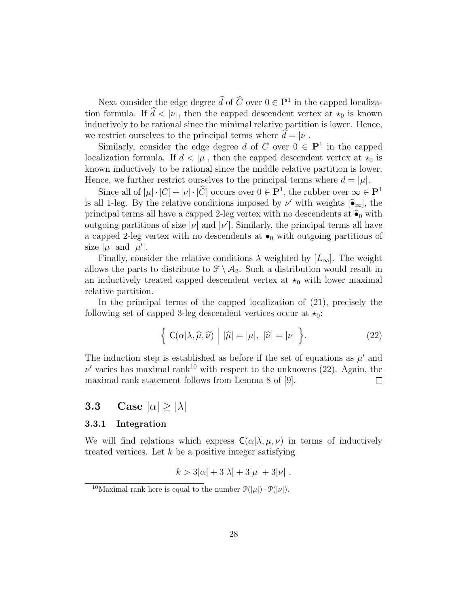Next consider the edge degree  $\tilde{d}$  of  $\tilde{C}$  over  $0 \in \mathbf{P}^1$  in the capped localization formula. If  $\hat{d} < |v|$ , then the capped descendent vertex at  $\star_0$  is known inductively to be rational since the minimal relative partition is lower. Hence, we restrict ourselves to the principal terms where  $d = |\nu|$ .

Similarly, consider the edge degree d of C over  $0 \in \mathbf{P}^1$  in the capped localization formula. If  $d < |\mu|$ , then the capped descendent vertex at  $\star_0$  is known inductively to be rational since the middle relative partition is lower. Hence, we further restrict ourselves to the principal terms where  $d = |\mu|$ .

Since all of  $|\mu| \cdot [C] + |\nu| \cdot [C]$  occurs over  $0 \in \mathbf{P}^1$ , the rubber over  $\infty \in \mathbf{P}^1$ is all 1-leg. By the relative conditions imposed by  $\nu'$  with weights  $[\hat{\bullet}_{\infty}]$ , the principal terms all have a capped 2-leg vertex with no descendents at  $\hat{\bullet}_0$  with outgoing partitions of size  $|\nu|$  and  $|\nu'|$ . Similarly, the principal terms all have a capped 2-leg vertex with no descendents at  $\bullet$ <sub>0</sub> with outgoing partitions of size  $|\mu|$  and  $|\mu'|$ .

Finally, consider the relative conditions  $\lambda$  weighted by  $[L_{\infty}]$ . The weight allows the parts to distribute to  $\mathcal{F} \setminus \mathcal{A}_2$ . Such a distribution would result in an inductively treated capped descendent vertex at  $\star_0$  with lower maximal relative partition.

In the principal terms of the capped localization of (21), precisely the following set of capped 3-leg descendent vertices occur at  $\star_0$ :

$$
\left\{ \mathsf{C}(\alpha|\lambda,\widehat{\mu},\widehat{\nu}) \middle| |\widehat{\mu}| = |\mu|, |\widehat{\nu}| = |\nu| \right\}.
$$
 (22)

The induction step is established as before if the set of equations as  $\mu'$  and  $\nu'$  varies has maximal rank<sup>10</sup> with respect to the unknowns (22). Again, the maximal rank statement follows from Lemma 8 of [9].  $\Box$ 

# **3.3** Case  $|\alpha| \ge |\lambda|$

### 3.3.1 Integration

We will find relations which express  $C(\alpha|\lambda,\mu,\nu)$  in terms of inductively treated vertices. Let  $k$  be a positive integer satisfying

$$
k > 3|\alpha| + 3|\lambda| + 3|\mu| + 3|\nu|
$$
.

<sup>&</sup>lt;sup>10</sup>Maximal rank here is equal to the number  $\mathcal{P}(|\mu|) \cdot \mathcal{P}(|\nu|)$ .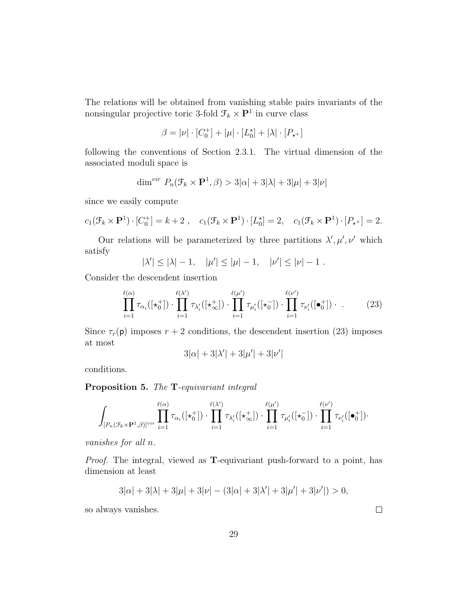The relations will be obtained from vanishing stable pairs invariants of the nonsingular projective toric 3-fold  $\mathcal{F}_k \times \mathbf{P}^1$  in curve class

$$
\beta = |\nu| \cdot [C_0^+] + |\mu| \cdot [L_0^{\star}] + |\lambda| \cdot [P_{\star^+}]
$$

following the conventions of Section 2.3.1. The virtual dimension of the associated moduli space is

$$
\dim^{vir} P_n(\mathcal{F}_k \times \mathbf{P}^1, \beta) > 3|\alpha| + 3|\lambda| + 3|\mu| + 3|\nu|
$$

since we easily compute

$$
c_1(\mathcal{F}_k \times \mathbf{P}^1) \cdot [C_0^+] = k + 2 \;, \quad c_1(\mathcal{F}_k \times \mathbf{P}^1) \cdot [L_0^*] = 2, \quad c_1(\mathcal{F}_k \times \mathbf{P}^1) \cdot [P_{\star^+}] = 2.
$$

Our relations will be parameterized by three partitions  $\lambda', \mu', \nu'$  which satisfy

$$
|\lambda'| \le |\lambda| - 1
$$
,  $|\mu'| \le |\mu| - 1$ ,  $|\nu'| \le |\nu| - 1$ .

Consider the descendent insertion

$$
\prod_{i=1}^{\ell(\alpha)} \tau_{\alpha_i}([\star_0^+]) \cdot \prod_{i=1}^{\ell(\lambda')} \tau_{\lambda_i'}([\star_\infty^+]) \cdot \prod_{i=1}^{\ell(\mu')} \tau_{\mu_i'}([\star_0^-]) \cdot \prod_{i=1}^{\ell(\nu')} \tau_{\nu_i'}([\bullet_0^+]) \cdot \tag{23}
$$

Since  $\tau_r(\mathsf{p})$  imposes  $r + 2$  conditions, the descendent insertion (23) imposes at most

$$
3|\alpha|+3|\lambda'|+3|\mu'|+3|\nu'|
$$

conditions.

### Proposition 5. The T-equivariant integral

$$
\int_{[P_n(\mathcal{F}_k\times\mathbf{P}^1,\beta)]^{vir}} \prod_{i=1}^{\ell(\alpha)} \tau_{\alpha_i}([\star_0^+])\cdot \prod_{i=1}^{\ell(\lambda')}\tau_{\lambda_i'}([\star_\infty^+])\cdot \prod_{i=1}^{\ell(\mu')} \tau_{\mu_i'}([\star_0^-])\cdot \prod_{i=1}^{\ell(\nu')} \tau_{\nu_i'}([\bullet_0^+])\cdot
$$

vanishes for all n.

Proof. The integral, viewed as T-equivariant push-forward to a point, has dimension at least

$$
3|\alpha| + 3|\lambda| + 3|\mu| + 3|\nu| - (3|\alpha| + 3|\lambda'| + 3|\mu'| + 3|\nu'|) > 0,
$$

so always vanishes.

 $\Box$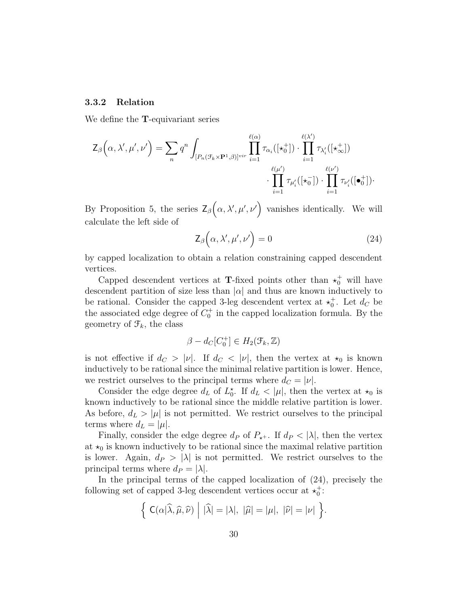#### 3.3.2 Relation

We define the T-equivariant series

$$
\mathsf{Z}_{\beta}\Big(\alpha,\lambda',\mu',\nu'\Big) = \sum_{n} q^{n} \int_{[P_{n}(\mathcal{F}_{k}\times\mathbf{P}^{1},\beta)]^{vir}} \prod_{i=1}^{\ell(\alpha)} \tau_{\alpha_{i}}([\star_{0}^{+}]) \cdot \prod_{i=1}^{\ell(\lambda')} \tau_{\lambda'_{i}}([\star_{\infty}^{+}])
$$

$$
\cdot \prod_{i=1}^{\ell(\mu')} \tau_{\mu'_{i}}([\star_{0}^{-}]) \cdot \prod_{i=1}^{\ell(\nu')} \tau_{\nu'_{i}}([\bullet_{0}^{+}]) \cdot
$$

By Proposition 5, the series  $\mathsf{Z}_{\beta}\big(\alpha,\lambda',\mu',\nu'\big)$  vanishes identically. We will calculate the left side of

$$
\mathsf{Z}_{\beta}\Big(\alpha,\lambda',\mu',\nu'\Big)=0\tag{24}
$$

by capped localization to obtain a relation constraining capped descendent vertices.

Capped descendent vertices at **T**-fixed points other than  $\star_0^+$  will have descendent partition of size less than  $|\alpha|$  and thus are known inductively to be rational. Consider the capped 3-leg descendent vertex at  $\star_0^+$ . Let  $d_C$  be the associated edge degree of  $C_0^+$  in the capped localization formula. By the geometry of  $\mathcal{F}_k$ , the class

$$
\beta - d_C[C_0^+] \in H_2(\mathcal{F}_k, \mathbb{Z})
$$

is not effective if  $d_C > |\nu|$ . If  $d_C < |\nu|$ , then the vertex at  $\star_0$  is known inductively to be rational since the minimal relative partition is lower. Hence, we restrict ourselves to the principal terms where  $d_C = |\nu|$ .

Consider the edge degree  $d_L$  of  $L_0^*$ . If  $d_L < |\mu|$ , then the vertex at  $\star_0$  is known inductively to be rational since the middle relative partition is lower. As before,  $d_L > |\mu|$  is not permitted. We restrict ourselves to the principal terms where  $d_L = |\mu|$ .

Finally, consider the edge degree  $d_P$  of  $P_{\star^+}$ . If  $d_P < |\lambda|$ , then the vertex at  $\star_0$  is known inductively to be rational since the maximal relative partition is lower. Again,  $d_P > |\lambda|$  is not permitted. We restrict ourselves to the principal terms where  $d_P = |\lambda|$ .

In the principal terms of the capped localization of (24), precisely the following set of capped 3-leg descendent vertices occur at  $\star_0^+$ :

$$
\left\{\ \mathsf{C}(\alpha|\widehat{\lambda},\widehat{\mu},\widehat{\nu})\ \middle|\ |\widehat{\lambda}|=|\lambda|,\ |\widehat{\mu}|=|\mu|,\ |\widehat{\nu}|=|\nu|\ \right\}.
$$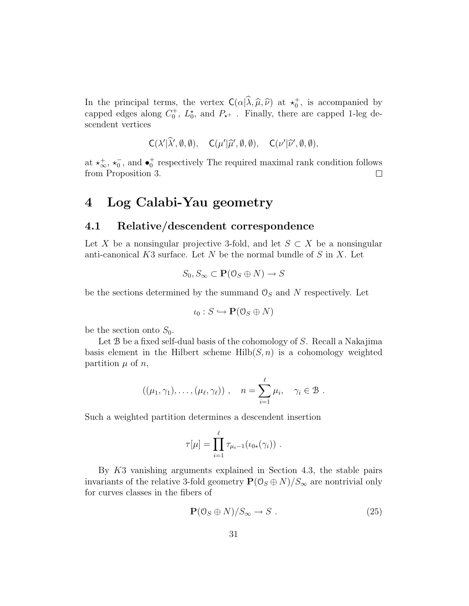In the principal terms, the vertex  $C(\alpha | \hat{\lambda}, \hat{\mu}, \hat{\nu})$  at  $\star_0^+$ , is accompanied by capped edges along  $C_0^+$ ,  $L_0^*$ , and  $P_{*+}$ . Finally, there are capped 1-leg descendent vertices

$$
C(\lambda'|\widehat{\lambda}', \emptyset, \emptyset), \quad C(\mu'|\widehat{\mu}', \emptyset, \emptyset), \quad C(\nu'|\widehat{\nu}', \emptyset, \emptyset),
$$

at  $\star_{\infty}^{+}$ ,  $\star_{0}^{-}$ , and  $\bullet_{0}^{+}$  respectively The required maximal rank condition follows from Proposition 3.  $\Box$ 

# 4 Log Calabi-Yau geometry

### 4.1 Relative/descendent correspondence

Let X be a nonsingular projective 3-fold, and let  $S \subset X$  be a nonsingular anti-canonical K3 surface. Let N be the normal bundle of S in X. Let

$$
S_0, S_{\infty} \subset \mathbf{P}(\mathcal{O}_S \oplus N) \to S
$$

be the sections determined by the summand  $\mathcal{O}_S$  and N respectively. Let

$$
\iota_0: S \hookrightarrow \mathbf{P}(\mathcal{O}_S \oplus N)
$$

be the section onto  $S_0$ .

Let B be a fixed self-dual basis of the cohomology of S. Recall a Nakajima basis element in the Hilbert scheme  $Hilb(S,n)$  is a cohomology weighted partition  $\mu$  of n,

$$
((\mu_1, \gamma_1), \ldots, (\mu_\ell, \gamma_\ell)), \quad n = \sum_{i=1}^\ell \mu_i, \quad \gamma_i \in \mathcal{B}.
$$

Such a weighted partition determines a descendent insertion

$$
\tau[\mu] = \prod_{i=1}^{\ell} \tau_{\mu_i-1}(\iota_{0*}(\gamma_i)) \ .
$$

By K3 vanishing arguments explained in Section 4.3, the stable pairs invariants of the relative 3-fold geometry  $\mathbf{P}(\mathcal{O}_S \oplus N)/S_\infty$  are nontrivial only for curves classes in the fibers of

$$
\mathbf{P}(\mathbf{0}_S \oplus N)/S_{\infty} \to S . \tag{25}
$$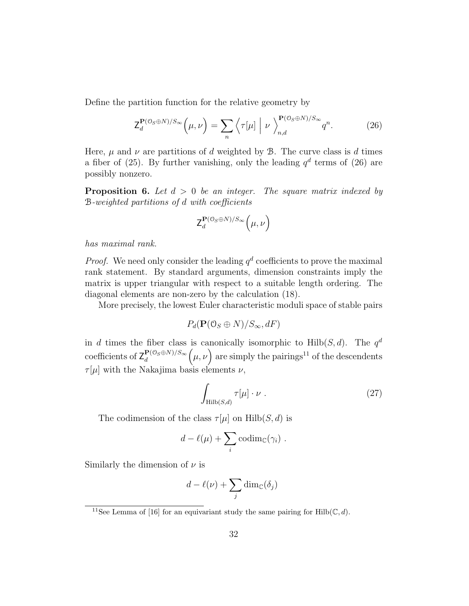Define the partition function for the relative geometry by

$$
\mathsf{Z}_{d}^{\mathbf{P}(\mathcal{O}_{S}\oplus N)/S_{\infty}}\left(\mu,\nu\right) = \sum_{n} \left\langle \tau[\mu] \middle| \nu \right\rangle_{n,d}^{\mathbf{P}(\mathcal{O}_{S}\oplus N)/S_{\infty}} q^{n}.\tag{26}
$$

Here,  $\mu$  and  $\nu$  are partitions of d weighted by  $\beta$ . The curve class is d times a fiber of (25). By further vanishing, only the leading  $q<sup>d</sup>$  terms of (26) are possibly nonzero.

**Proposition 6.** Let  $d > 0$  be an integer. The square matrix indexed by B-weighted partitions of d with coefficients

$$
\mathsf{Z}_d^{\mathbf{P}(\mathbb{O}_S \oplus N)/S_{\infty}}\left(\mu, \nu\right)
$$

has maximal rank.

*Proof.* We need only consider the leading  $q<sup>d</sup>$  coefficients to prove the maximal rank statement. By standard arguments, dimension constraints imply the matrix is upper triangular with respect to a suitable length ordering. The diagonal elements are non-zero by the calculation (18).

More precisely, the lowest Euler characteristic moduli space of stable pairs

$$
P_d(\mathbf{P}(\mathcal{O}_S \oplus N)/S_{\infty}, dF)
$$

in d times the fiber class is canonically isomorphic to  $Hilb(S, d)$ . The  $q<sup>d</sup>$ coefficients of  $Z_d^{\mathbf{P}(\mathcal{O}_S \oplus N)/S_{\infty}}$ d  $(\mu, \nu)$  are simply the pairings<sup>11</sup> of the descendents  $\tau[\mu]$  with the Nakajima basis elements  $\nu$ ,

$$
\int_{\text{Hilb}(S,d)} \tau[\mu] \cdot \nu \ . \tag{27}
$$

The codimension of the class  $\tau[\mu]$  on Hilb $(S, d)$  is

$$
d - \ell(\mu) + \sum_i \operatorname{codim}_{\mathbb{C}}(\gamma_i) .
$$

Similarly the dimension of  $\nu$  is

$$
d - \ell(\nu) + \sum_j \dim_{\mathbb{C}}(\delta_j)
$$

<sup>11</sup>See Lemma of [16] for an equivariant study the same pairing for Hilb( $\mathbb{C}, d$ ).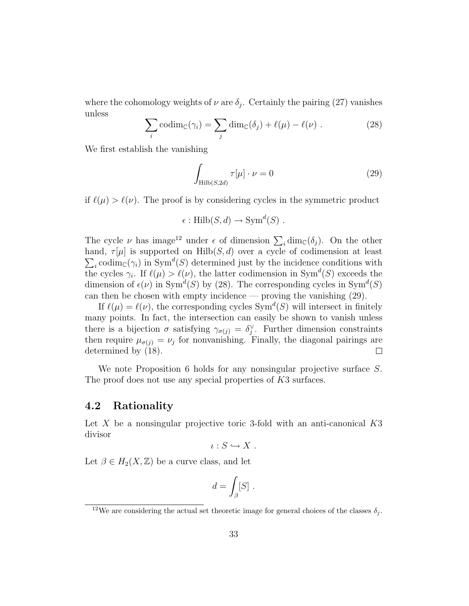where the cohomology weights of  $\nu$  are  $\delta_j$ . Certainly the pairing (27) vanishes unless

$$
\sum_{i} \operatorname{codim}_{\mathbb{C}}(\gamma_i) = \sum_{j} \dim_{\mathbb{C}}(\delta_j) + \ell(\mu) - \ell(\nu) . \tag{28}
$$

We first establish the vanishing

$$
\int_{\text{Hilb}(S,2d)} \tau[\mu] \cdot \nu = 0 \tag{29}
$$

if  $\ell(\mu) > \ell(\nu)$ . The proof is by considering cycles in the symmetric product

$$
\epsilon: \mathrm{Hilb}(S, d) \to \mathrm{Sym}^d(S) .
$$

The cycle  $\nu$  has image<sup>12</sup> under  $\epsilon$  of dimension  $\sum_i \dim_{\mathbb{C}}(\delta_j)$ . On the other hand,  $\tau[\mu]$  is supported on  $\text{Hilb}(S,d)$  over a cycle of codimension at least  $\sum_i \text{codim}_{\mathbb{C}}(\gamma_i)$  in Sym<sup>d</sup>(S) determined just by the incidence conditions with the cycles  $\gamma_i$ . If  $\ell(\mu) > \ell(\nu)$ , the latter codimension in Sym<sup>d</sup>(S) exceeds the dimension of  $\epsilon(\nu)$  in Sym<sup> $d(S)$ </sup> by (28). The corresponding cycles in Sym<sup> $d(S)$ </sup> can then be chosen with empty incidence — proving the vanishing  $(29)$ .

If  $\ell(\mu) = \ell(\nu)$ , the corresponding cycles  $Sym^d(S)$  will intersect in finitely many points. In fact, the intersection can easily be shown to vanish unless there is a bijection  $\sigma$  satisfying  $\gamma_{\sigma(j)} = \delta_j^{\vee}$ . Further dimension constraints then require  $\mu_{\sigma(j)} = \nu_j$  for nonvanishing. Finally, the diagonal pairings are determined by (18).  $\Box$ 

We note Proposition 6 holds for any nonsingular projective surface S. The proof does not use any special properties of K3 surfaces.

### 4.2 Rationality

Let X be a nonsingular projective toric 3-fold with an anti-canonical  $K3$ divisor

$$
\iota: S \hookrightarrow X .
$$

Let  $\beta \in H_2(X,\mathbb{Z})$  be a curve class, and let

$$
d = \int_{\beta} [S] \ .
$$

<sup>&</sup>lt;sup>12</sup>We are considering the actual set theoretic image for general choices of the classes  $\delta_i$ .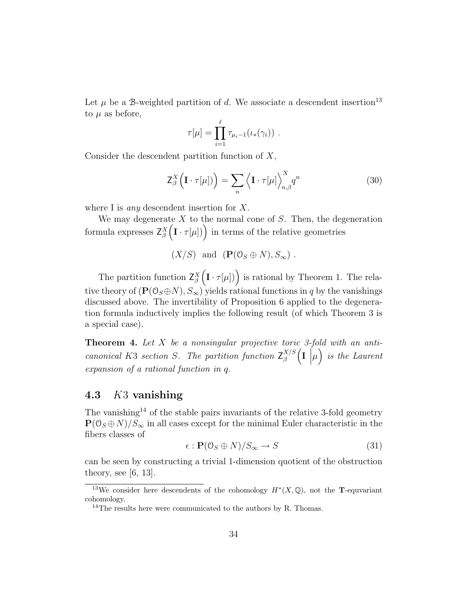Let  $\mu$  be a B-weighted partition of d. We associate a descendent insertion<sup>13</sup> to  $\mu$  as before,

$$
\tau[\mu] = \prod_{i=1}^{\ell} \tau_{\mu_i - 1}(\iota_*(\gamma_i)) \ .
$$

Consider the descendent partition function of  $X$ ,

$$
\mathsf{Z}_{\beta}^{X}\left(\mathbf{I}\cdot\tau[\mu]\right) = \sum_{n} \left\langle \mathbf{I}\cdot\tau[\mu] \right\rangle_{n,\beta}^{X} q^{n} \tag{30}
$$

where I is *any* descendent insertion for  $X$ .

We may degenerate  $X$  to the normal cone of  $S$ . Then, the degeneration formula expresses  $Z_\beta^X$  $(I \cdot \tau[\mu])$  in terms of the relative geometries

$$
(X/S)
$$
 and  $(P(\mathcal{O}_S \oplus N), S_{\infty})$ .

The partition function  $Z_\beta^X$  $(I \cdot \tau[\mu])$  is rational by Theorem 1. The relative theory of  $(\mathbf{P}(\mathbf{0}_S \oplus N), S_{\infty})$  yields rational functions in q by the vanishings discussed above. The invertibility of Proposition 6 applied to the degeneration formula inductively implies the following result (of which Theorem 3 is a special case).

**Theorem 4.** Let  $X$  be a nonsingular projective toric 3-fold with an anticanonical K3 section S. The partition function  $Z_{\beta}^{X/S}$ β  $\left(\mathbf{I} \right)$  is the Laurent expansion of a rational function in q.

# 4.3 K3 vanishing

The vanishing<sup>14</sup> of the stable pairs invariants of the relative 3-fold geometry  $\mathbf{P}(\mathcal{O}_S \oplus N)/S_{\infty}$  in all cases except for the minimal Euler characteristic in the fibers classes of

$$
\epsilon : \mathbf{P}(\mathbf{0}_S \oplus N)/S_{\infty} \to S \tag{31}
$$

can be seen by constructing a trivial 1-dimension quotient of the obstruction theory, see  $[6, 13]$ .

<sup>&</sup>lt;sup>13</sup>We consider here descendents of the cohomology  $H^*(X,\mathbb{Q})$ , not the **T**-equvariant cohomology.

<sup>&</sup>lt;sup>14</sup>The results here were communicated to the authors by R. Thomas.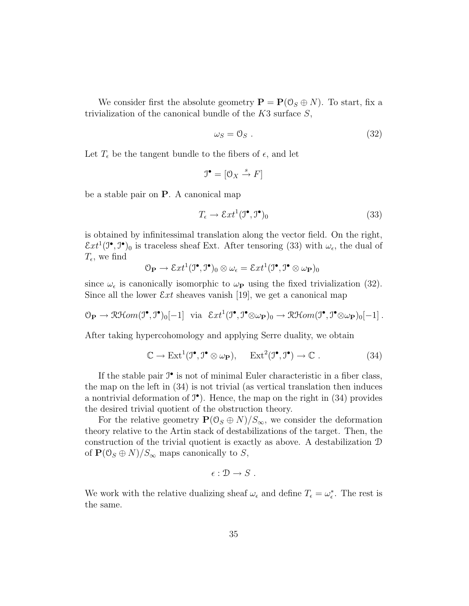We consider first the absolute geometry  $\mathbf{P} = \mathbf{P}(\mathcal{O}_S \oplus N)$ . To start, fix a trivialization of the canonical bundle of the  $K3$  surface  $S$ ,

$$
\omega_S = 0_S \tag{32}
$$

Let  $T_{\epsilon}$  be the tangent bundle to the fibers of  $\epsilon$ , and let

$$
\mathfrak{I}^{\bullet} = [\mathfrak{O}_X \xrightarrow{s} F]
$$

be a stable pair on P. A canonical map

$$
T_{\epsilon} \to \mathcal{E}xt^{1}(\mathcal{I}^{\bullet}, \mathcal{I}^{\bullet})_{0}
$$
\n
$$
(33)
$$

is obtained by infinitessimal translation along the vector field. On the right,  $\mathcal{E}xt^1(\mathcal{I}^\bullet,\mathcal{I}^\bullet)$  is traceless sheaf Ext. After tensoring (33) with  $\omega_\epsilon$ , the dual of  $T_{\epsilon}$ , we find

$$
\mathcal{O}_{\mathbf{P}} \to \mathcal{E}xt^1(\mathcal{I}^\bullet, \mathcal{I}^\bullet)_0 \otimes \omega_\epsilon = \mathcal{E}xt^1(\mathcal{I}^\bullet, \mathcal{I}^\bullet \otimes \omega_{\mathbf{P}})_0
$$

since  $\omega_{\epsilon}$  is canonically isomorphic to  $\omega_{\mathbf{P}}$  using the fixed trivialization (32). Since all the lower  $\mathcal{E}xt$  sheaves vanish [19], we get a canonical map

$$
\mathcal{O}_{\mathbf{P}} \to \mathcal{R}\mathcal{H}om(\mathcal{I}^{\bullet}, \mathcal{I}^{\bullet})_{0}[-1] \text{ via } \mathcal{E}xt^{1}(\mathcal{I}^{\bullet}, \mathcal{I}^{\bullet} \otimes \omega_{\mathbf{P}})_{0} \to \mathcal{R}\mathcal{H}om(\mathcal{I}^{\bullet}, \mathcal{I}^{\bullet} \otimes \omega_{\mathbf{P}})_{0}[-1] .
$$

After taking hypercohomology and applying Serre duality, we obtain

$$
\mathbb{C} \to \mathrm{Ext}^1(\mathcal{I}^\bullet, \mathcal{I}^\bullet \otimes \omega_\mathbf{P}), \quad \mathrm{Ext}^2(\mathcal{I}^\bullet, \mathcal{I}^\bullet) \to \mathbb{C} . \tag{34}
$$

If the stable pair  $\mathfrak{I}^{\bullet}$  is not of minimal Euler characteristic in a fiber class, the map on the left in (34) is not trivial (as vertical translation then induces a nontrivial deformation of  $J^{\bullet}$ ). Hence, the map on the right in (34) provides the desired trivial quotient of the obstruction theory.

For the relative geometry  $\mathbf{P}(\mathbb{O}_S \oplus N)/S_{\infty}$ , we consider the deformation theory relative to the Artin stack of destabilizations of the target. Then, the construction of the trivial quotient is exactly as above. A destabilization D of  $\mathbf{P}(\mathbb{O}_S \oplus N)/S_{\infty}$  maps canonically to S,

$$
\epsilon:\mathcal{D}\to S\ .
$$

We work with the relative dualizing sheaf  $\omega_{\epsilon}$  and define  $T_{\epsilon} = \omega_{\epsilon}^*$ . The rest is the same.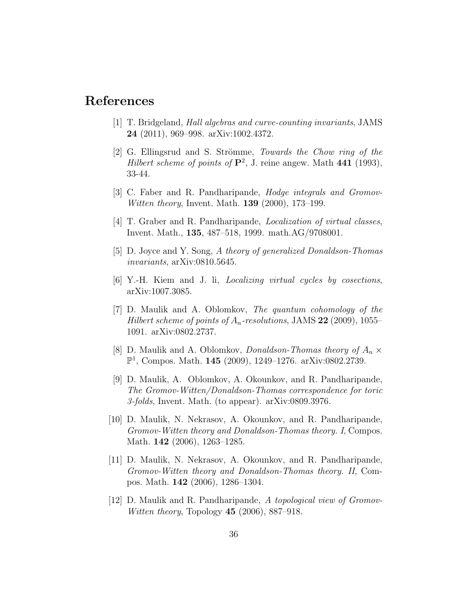# References

- [1] T. Bridgeland, Hall algebras and curve-counting invariants, JAMS 24 (2011), 969–998. arXiv:1002.4372.
- [2] G. Ellingsrud and S. Strömme, Towards the Chow ring of the Hilbert scheme of points of  $\mathbf{P}^2$ , J. reine angew. Math 441 (1993), 33-44.
- [3] C. Faber and R. Pandharipande, Hodge integrals and Gromov-Witten theory, Invent. Math. **139** (2000), 173-199.
- [4] T. Graber and R. Pandharipande, Localization of virtual classes, Invent. Math., 135, 487–518, 1999. math.AG/9708001.
- [5] D. Joyce and Y. Song, A theory of generalized Donaldson-Thomas invariants, arXiv:0810.5645.
- [6] Y.-H. Kiem and J. li, Localizing virtual cycles by cosections, arXiv:1007.3085.
- [7] D. Maulik and A. Oblomkov, The quantum cohomology of the Hilbert scheme of points of  $A_n$ -resolutions, JAMS 22 (2009), 1055– 1091. arXiv:0802.2737.
- [8] D. Maulik and A. Oblomkov, *Donaldson-Thomas theory of*  $A_n \times$ P 1 , Compos. Math. 145 (2009), 1249–1276. arXiv:0802.2739.
- [9] D. Maulik, A. Oblomkov, A. Okounkov, and R. Pandharipande, The Gromov-Witten/Donaldson-Thomas correspondence for toric 3-folds, Invent. Math. (to appear). arXiv:0809.3976.
- [10] D. Maulik, N. Nekrasov, A. Okounkov, and R. Pandharipande, Gromov-Witten theory and Donaldson-Thomas theory. I, Compos. Math. 142 (2006), 1263–1285.
- [11] D. Maulik, N. Nekrasov, A. Okounkov, and R. Pandharipande, Gromov-Witten theory and Donaldson-Thomas theory. II, Compos. Math. 142 (2006), 1286–1304.
- [12] D. Maulik and R. Pandharipande, A topological view of Gromov-*Witten theory*, Topology  $45$  (2006), 887–918.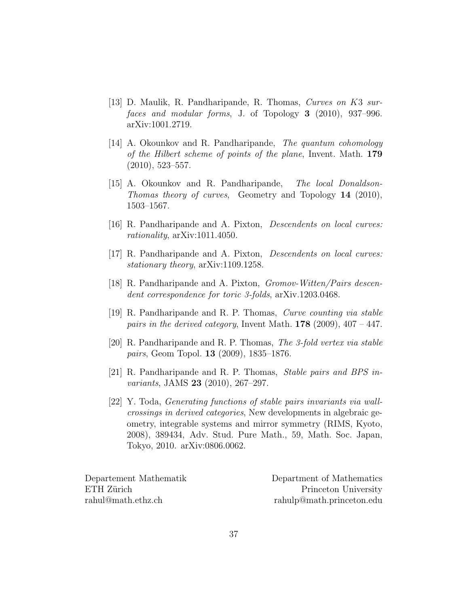- [13] D. Maulik, R. Pandharipande, R. Thomas, Curves on K3 surfaces and modular forms, J. of Topology 3 (2010), 937–996. arXiv:1001.2719.
- [14] A. Okounkov and R. Pandharipande, The quantum cohomology of the Hilbert scheme of points of the plane, Invent. Math. 179 (2010), 523–557.
- [15] A. Okounkov and R. Pandharipande, The local Donaldson-Thomas theory of curves, Geometry and Topology 14 (2010), 1503–1567.
- [16] R. Pandharipande and A. Pixton, Descendents on local curves: rationality, arXiv:1011.4050.
- [17] R. Pandharipande and A. Pixton, Descendents on local curves: stationary theory, arXiv:1109.1258.
- [18] R. Pandharipande and A. Pixton, Gromov-Witten/Pairs descendent correspondence for toric 3-folds, arXiv.1203.0468.
- [19] R. Pandharipande and R. P. Thomas, Curve counting via stable pairs in the derived category, Invent Math.  $178$  (2009), 407 – 447.
- [20] R. Pandharipande and R. P. Thomas, The 3-fold vertex via stable pairs, Geom Topol. 13 (2009), 1835–1876.
- [21] R. Pandharipande and R. P. Thomas, Stable pairs and BPS invariants, JAMS 23 (2010), 267–297.
- [22] Y. Toda, Generating functions of stable pairs invariants via wallcrossings in derived categories, New developments in algebraic geometry, integrable systems and mirror symmetry (RIMS, Kyoto, 2008), 389434, Adv. Stud. Pure Math., 59, Math. Soc. Japan, Tokyo, 2010. arXiv:0806.0062.

Departement Mathematik Department of Mathematics ETH Zürich Princeton University rahul@math.ethz.ch rahulp@math.princeton.edu